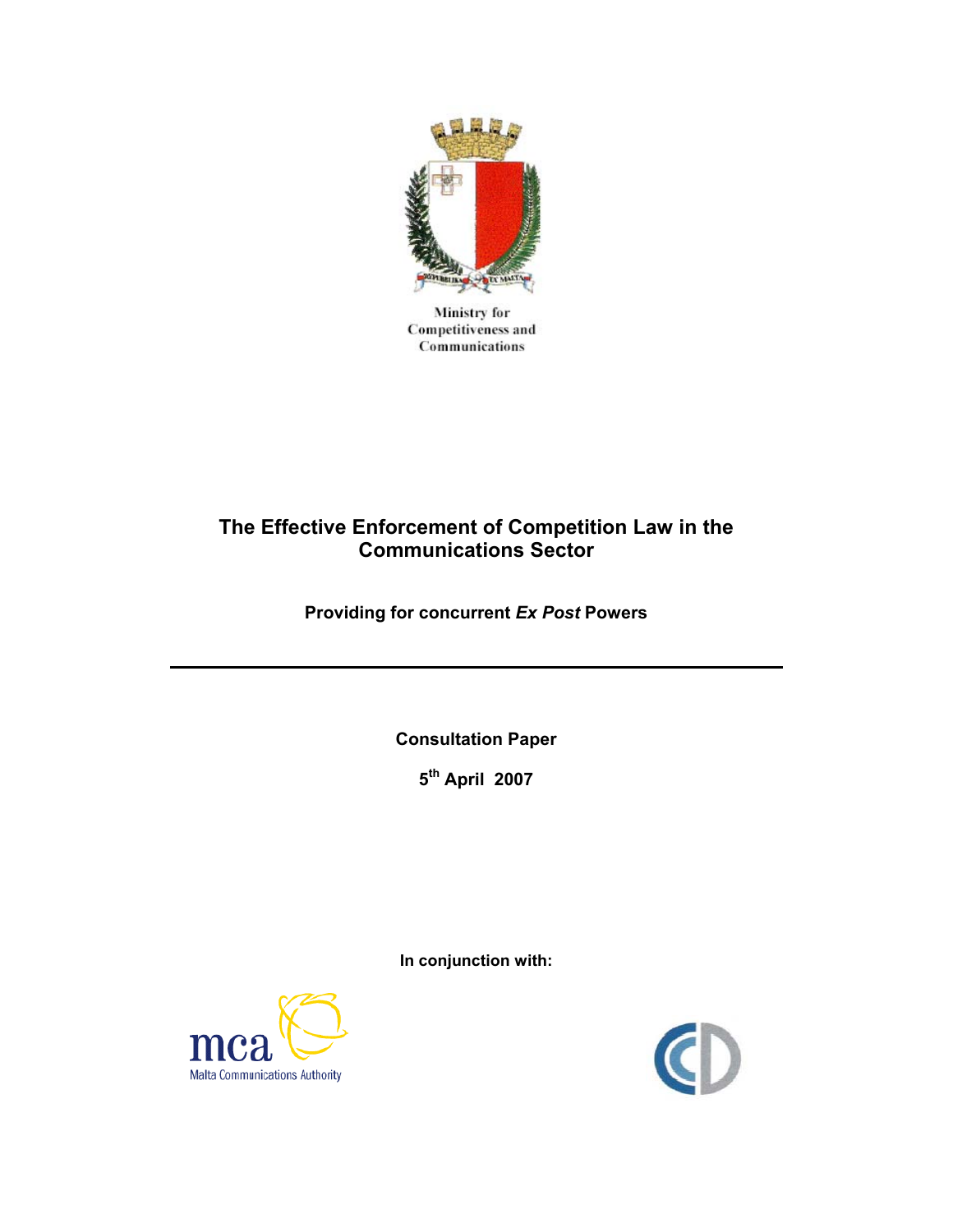

Ministry for **Competitiveness and** Communications

# **The Effective Enforcement of Competition Law in the Communications Sector**

**Providing for concurrent** *Ex Post* **Powers** 

**Consultation Paper** 

**5th April 2007** 

**In conjunction with:** 



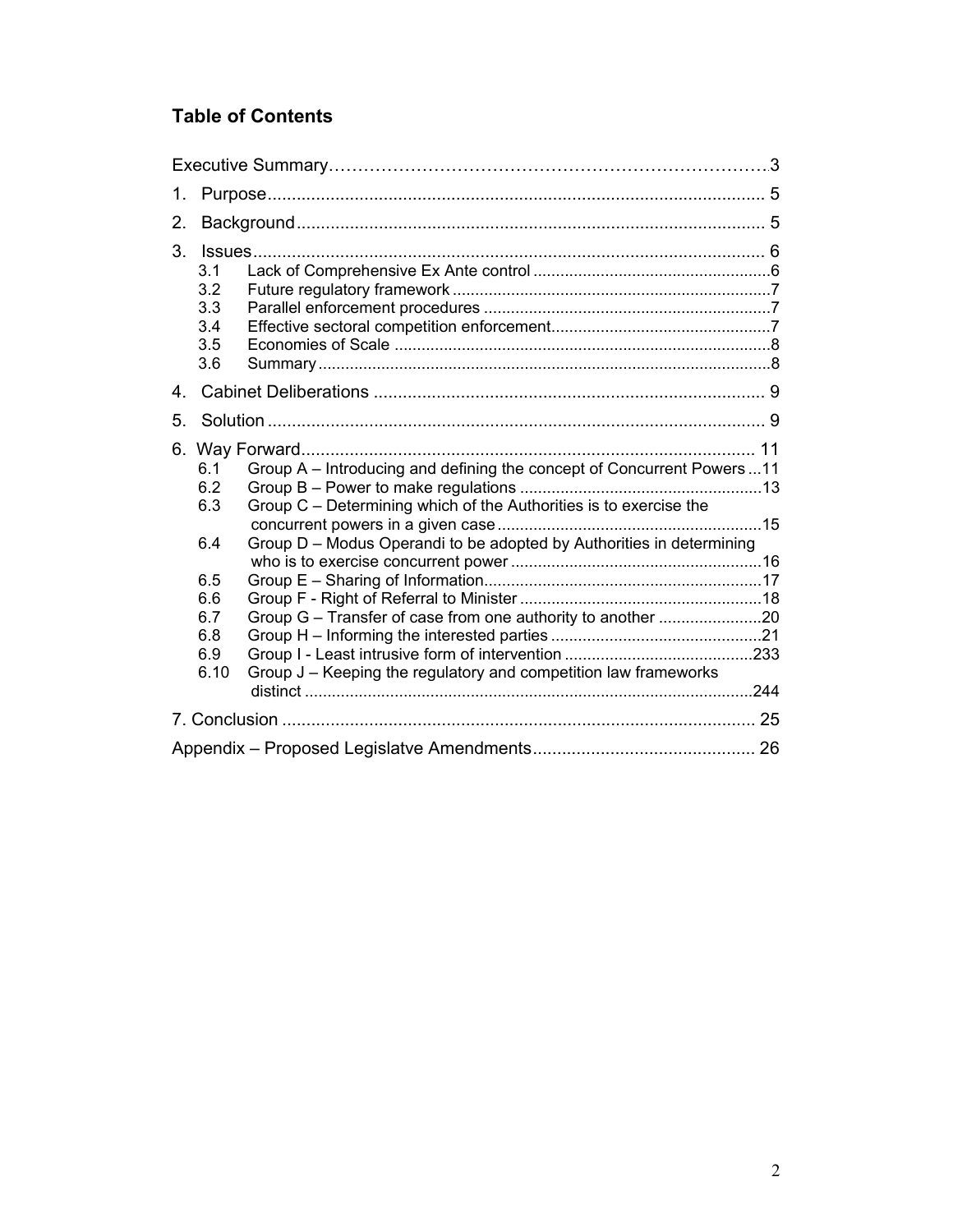# **Table of Contents**

| 1.      |                                                                                                                                                                                                                                                                                                                                                              |  |
|---------|--------------------------------------------------------------------------------------------------------------------------------------------------------------------------------------------------------------------------------------------------------------------------------------------------------------------------------------------------------------|--|
| 2.      |                                                                                                                                                                                                                                                                                                                                                              |  |
| 3.      | 3.1<br>3.2<br>3.3<br>3.4<br>3.5<br>3.6                                                                                                                                                                                                                                                                                                                       |  |
| $4_{-}$ |                                                                                                                                                                                                                                                                                                                                                              |  |
| 5.      |                                                                                                                                                                                                                                                                                                                                                              |  |
|         | Group A - Introducing and defining the concept of Concurrent Powers11<br>6.1<br>6.2<br>Group C - Determining which of the Authorities is to exercise the<br>6.3<br>Group D - Modus Operandi to be adopted by Authorities in determining<br>6.4<br>6.5<br>6.6<br>6.7<br>6.8<br>6.9<br>Group J – Keeping the regulatory and competition law frameworks<br>6.10 |  |
|         |                                                                                                                                                                                                                                                                                                                                                              |  |
|         |                                                                                                                                                                                                                                                                                                                                                              |  |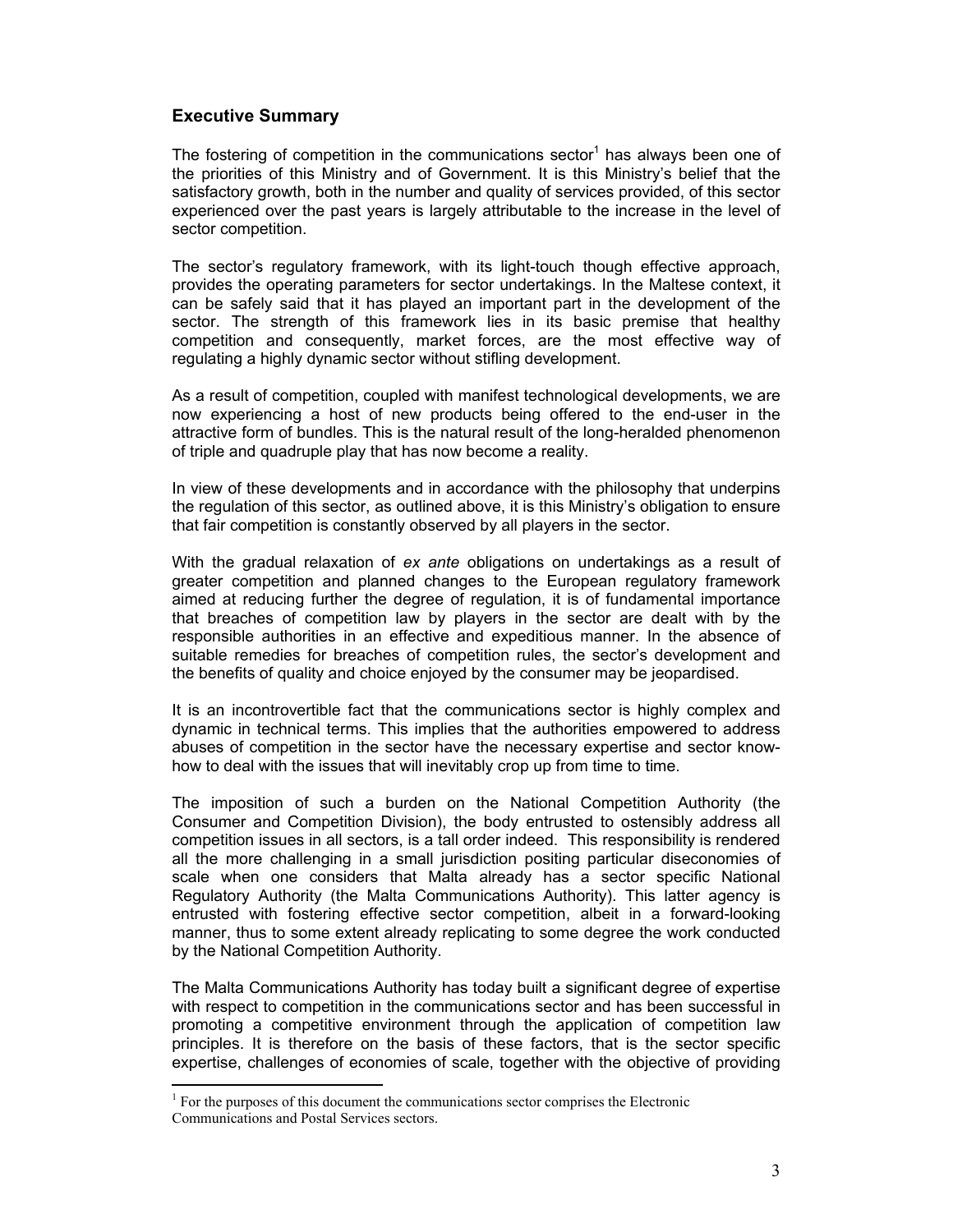# **Executive Summary**

The fostering of competition in the communications sector<sup>1</sup> has always been one of the priorities of this Ministry and of Government. It is this Ministry's belief that the satisfactory growth, both in the number and quality of services provided, of this sector experienced over the past years is largely attributable to the increase in the level of sector competition.

The sector's regulatory framework, with its light-touch though effective approach, provides the operating parameters for sector undertakings. In the Maltese context, it can be safely said that it has played an important part in the development of the sector. The strength of this framework lies in its basic premise that healthy competition and consequently, market forces, are the most effective way of regulating a highly dynamic sector without stifling development.

As a result of competition, coupled with manifest technological developments, we are now experiencing a host of new products being offered to the end-user in the attractive form of bundles. This is the natural result of the long-heralded phenomenon of triple and quadruple play that has now become a reality.

In view of these developments and in accordance with the philosophy that underpins the regulation of this sector, as outlined above, it is this Ministry's obligation to ensure that fair competition is constantly observed by all players in the sector.

With the gradual relaxation of *ex ante* obligations on undertakings as a result of greater competition and planned changes to the European regulatory framework aimed at reducing further the degree of regulation, it is of fundamental importance that breaches of competition law by players in the sector are dealt with by the responsible authorities in an effective and expeditious manner. In the absence of suitable remedies for breaches of competition rules, the sector's development and the benefits of quality and choice enjoyed by the consumer may be jeopardised.

It is an incontrovertible fact that the communications sector is highly complex and dynamic in technical terms. This implies that the authorities empowered to address abuses of competition in the sector have the necessary expertise and sector knowhow to deal with the issues that will inevitably crop up from time to time.

The imposition of such a burden on the National Competition Authority (the Consumer and Competition Division), the body entrusted to ostensibly address all competition issues in all sectors, is a tall order indeed. This responsibility is rendered all the more challenging in a small jurisdiction positing particular diseconomies of scale when one considers that Malta already has a sector specific National Regulatory Authority (the Malta Communications Authority). This latter agency is entrusted with fostering effective sector competition, albeit in a forward-looking manner, thus to some extent already replicating to some degree the work conducted by the National Competition Authority.

The Malta Communications Authority has today built a significant degree of expertise with respect to competition in the communications sector and has been successful in promoting a competitive environment through the application of competition law principles. It is therefore on the basis of these factors, that is the sector specific expertise, challenges of economies of scale, together with the objective of providing

 $<sup>1</sup>$  For the purposes of this document the communications sector comprises the Electronic</sup> Communications and Postal Services sectors.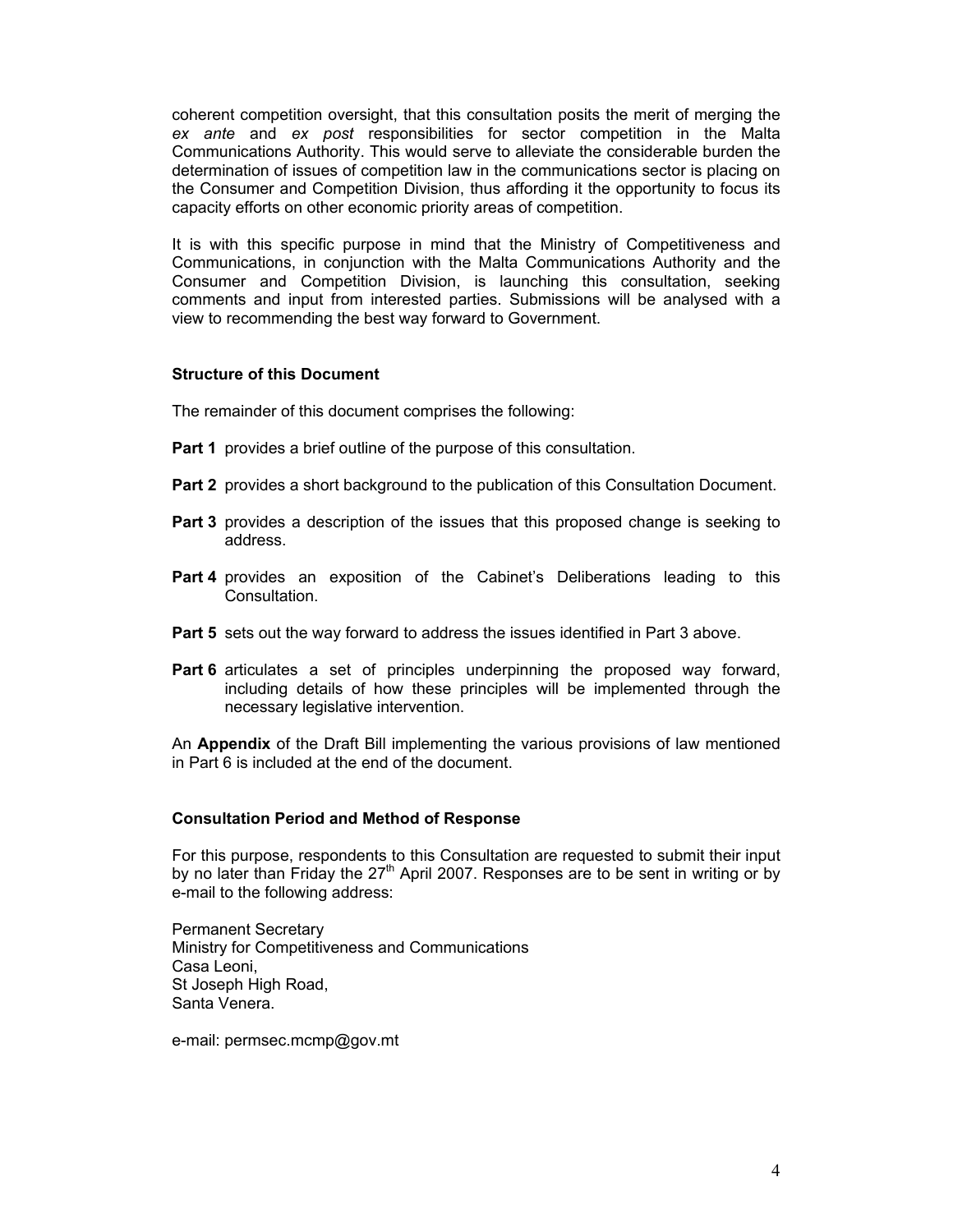coherent competition oversight, that this consultation posits the merit of merging the *ex ante* and *ex post* responsibilities for sector competition in the Malta Communications Authority. This would serve to alleviate the considerable burden the determination of issues of competition law in the communications sector is placing on the Consumer and Competition Division, thus affording it the opportunity to focus its capacity efforts on other economic priority areas of competition.

It is with this specific purpose in mind that the Ministry of Competitiveness and Communications, in conjunction with the Malta Communications Authority and the Consumer and Competition Division, is launching this consultation, seeking comments and input from interested parties. Submissions will be analysed with a view to recommending the best way forward to Government.

#### **Structure of this Document**

The remainder of this document comprises the following:

- **Part 1** provides a brief outline of the purpose of this consultation.
- **Part 2** provides a short background to the publication of this Consultation Document.
- **Part 3** provides a description of the issues that this proposed change is seeking to address.
- **Part 4** provides an exposition of the Cabinet's Deliberations leading to this Consultation.
- **Part 5** sets out the way forward to address the issues identified in Part 3 above.
- **Part 6** articulates a set of principles underpinning the proposed way forward, including details of how these principles will be implemented through the necessary legislative intervention.

An **Appendix** of the Draft Bill implementing the various provisions of law mentioned in Part 6 is included at the end of the document.

### **Consultation Period and Method of Response**

For this purpose, respondents to this Consultation are requested to submit their input by no later than Friday the  $27<sup>th</sup>$  April 2007. Responses are to be sent in writing or by e-mail to the following address:

Permanent Secretary Ministry for Competitiveness and Communications Casa Leoni, St Joseph High Road, Santa Venera.

e-mail: permsec.mcmp@gov.mt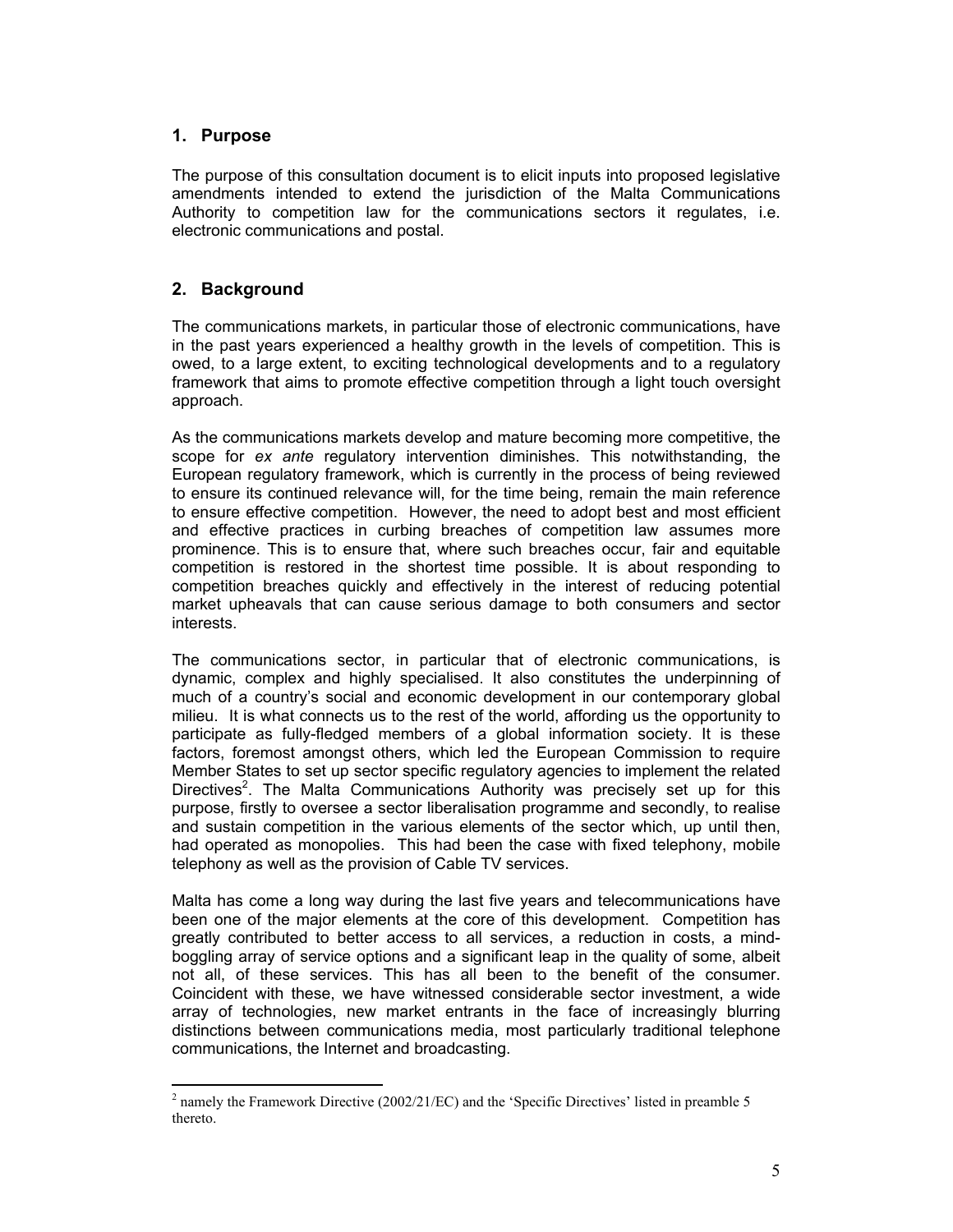# **1. Purpose**

The purpose of this consultation document is to elicit inputs into proposed legislative amendments intended to extend the jurisdiction of the Malta Communications Authority to competition law for the communications sectors it regulates, i.e. electronic communications and postal.

# **2. Background**

The communications markets, in particular those of electronic communications, have in the past years experienced a healthy growth in the levels of competition. This is owed, to a large extent, to exciting technological developments and to a regulatory framework that aims to promote effective competition through a light touch oversight approach.

As the communications markets develop and mature becoming more competitive, the scope for *ex ante* regulatory intervention diminishes. This notwithstanding, the European regulatory framework, which is currently in the process of being reviewed to ensure its continued relevance will, for the time being, remain the main reference to ensure effective competition. However, the need to adopt best and most efficient and effective practices in curbing breaches of competition law assumes more prominence. This is to ensure that, where such breaches occur, fair and equitable competition is restored in the shortest time possible. It is about responding to competition breaches quickly and effectively in the interest of reducing potential market upheavals that can cause serious damage to both consumers and sector interests.

The communications sector, in particular that of electronic communications, is dynamic, complex and highly specialised. It also constitutes the underpinning of much of a country's social and economic development in our contemporary global milieu. It is what connects us to the rest of the world, affording us the opportunity to participate as fully-fledged members of a global information society. It is these factors, foremost amongst others, which led the European Commission to require Member States to set up sector specific regulatory agencies to implement the related Directives<sup>2</sup>. The Malta Communications Authority was precisely set up for this purpose, firstly to oversee a sector liberalisation programme and secondly, to realise and sustain competition in the various elements of the sector which, up until then, had operated as monopolies. This had been the case with fixed telephony, mobile telephony as well as the provision of Cable TV services.

Malta has come a long way during the last five years and telecommunications have been one of the major elements at the core of this development. Competition has greatly contributed to better access to all services, a reduction in costs, a mindboggling array of service options and a significant leap in the quality of some, albeit not all, of these services. This has all been to the benefit of the consumer. Coincident with these, we have witnessed considerable sector investment, a wide array of technologies, new market entrants in the face of increasingly blurring distinctions between communications media, most particularly traditional telephone communications, the Internet and broadcasting.

 $\overline{a}$  $2$  namely the Framework Directive (2002/21/EC) and the 'Specific Directives' listed in preamble 5 thereto.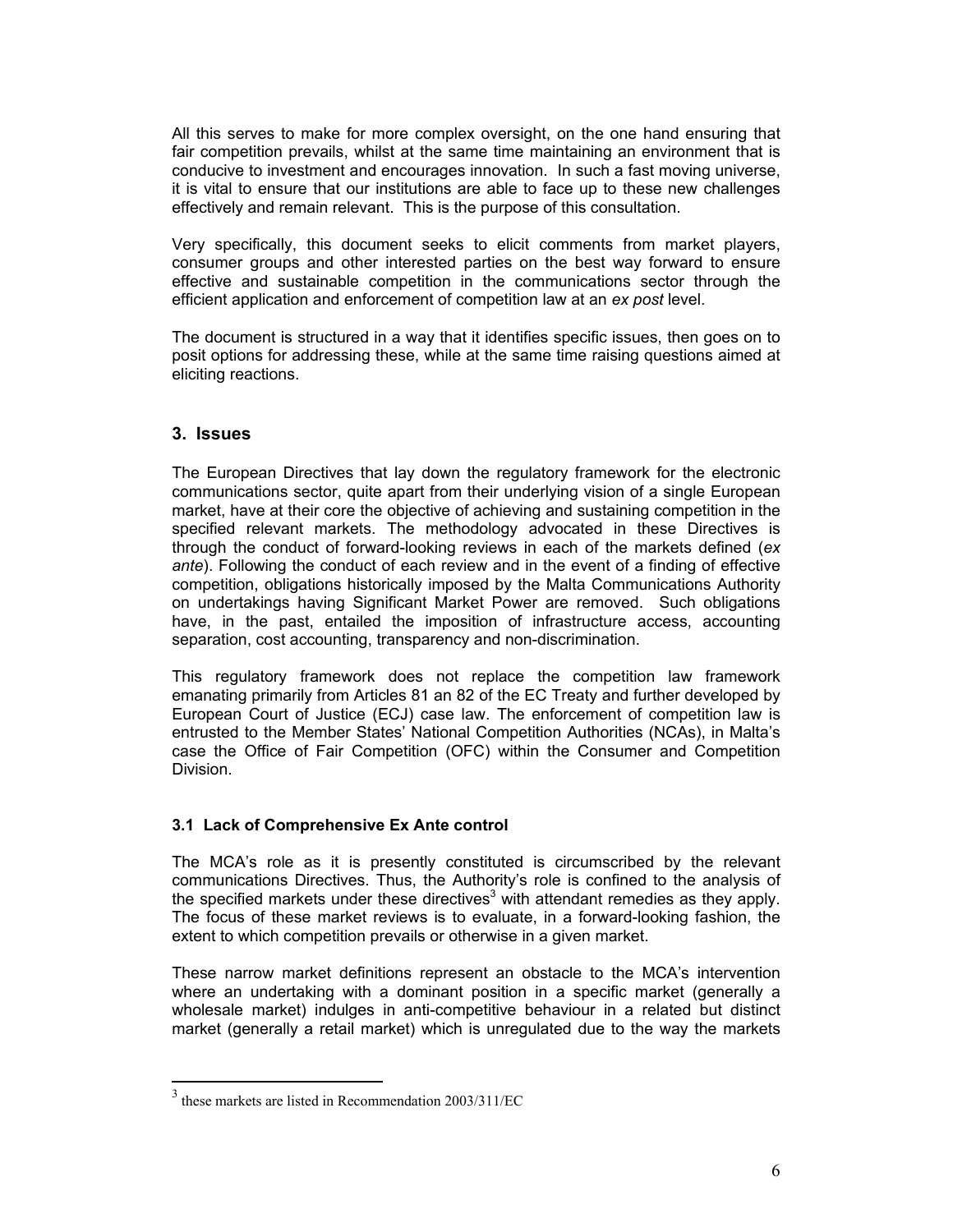All this serves to make for more complex oversight, on the one hand ensuring that fair competition prevails, whilst at the same time maintaining an environment that is conducive to investment and encourages innovation. In such a fast moving universe, it is vital to ensure that our institutions are able to face up to these new challenges effectively and remain relevant. This is the purpose of this consultation.

Very specifically, this document seeks to elicit comments from market players, consumer groups and other interested parties on the best way forward to ensure effective and sustainable competition in the communications sector through the efficient application and enforcement of competition law at an *ex post* level.

The document is structured in a way that it identifies specific issues, then goes on to posit options for addressing these, while at the same time raising questions aimed at eliciting reactions.

# **3. Issues**

 $\overline{a}$ 

The European Directives that lay down the regulatory framework for the electronic communications sector, quite apart from their underlying vision of a single European market, have at their core the objective of achieving and sustaining competition in the specified relevant markets. The methodology advocated in these Directives is through the conduct of forward-looking reviews in each of the markets defined (*ex ante*). Following the conduct of each review and in the event of a finding of effective competition, obligations historically imposed by the Malta Communications Authority on undertakings having Significant Market Power are removed. Such obligations have, in the past, entailed the imposition of infrastructure access, accounting separation, cost accounting, transparency and non-discrimination.

This regulatory framework does not replace the competition law framework emanating primarily from Articles 81 an 82 of the EC Treaty and further developed by European Court of Justice (ECJ) case law. The enforcement of competition law is entrusted to the Member States' National Competition Authorities (NCAs), in Malta's case the Office of Fair Competition (OFC) within the Consumer and Competition Division.

### **3.1 Lack of Comprehensive Ex Ante control**

The MCA's role as it is presently constituted is circumscribed by the relevant communications Directives. Thus, the Authority's role is confined to the analysis of the specified markets under these directives<sup>3</sup> with attendant remedies as they apply. The focus of these market reviews is to evaluate, in a forward-looking fashion, the extent to which competition prevails or otherwise in a given market.

These narrow market definitions represent an obstacle to the MCA's intervention where an undertaking with a dominant position in a specific market (generally a wholesale market) indulges in anti-competitive behaviour in a related but distinct market (generally a retail market) which is unregulated due to the way the markets

<sup>3</sup> these markets are listed in Recommendation 2003/311/EC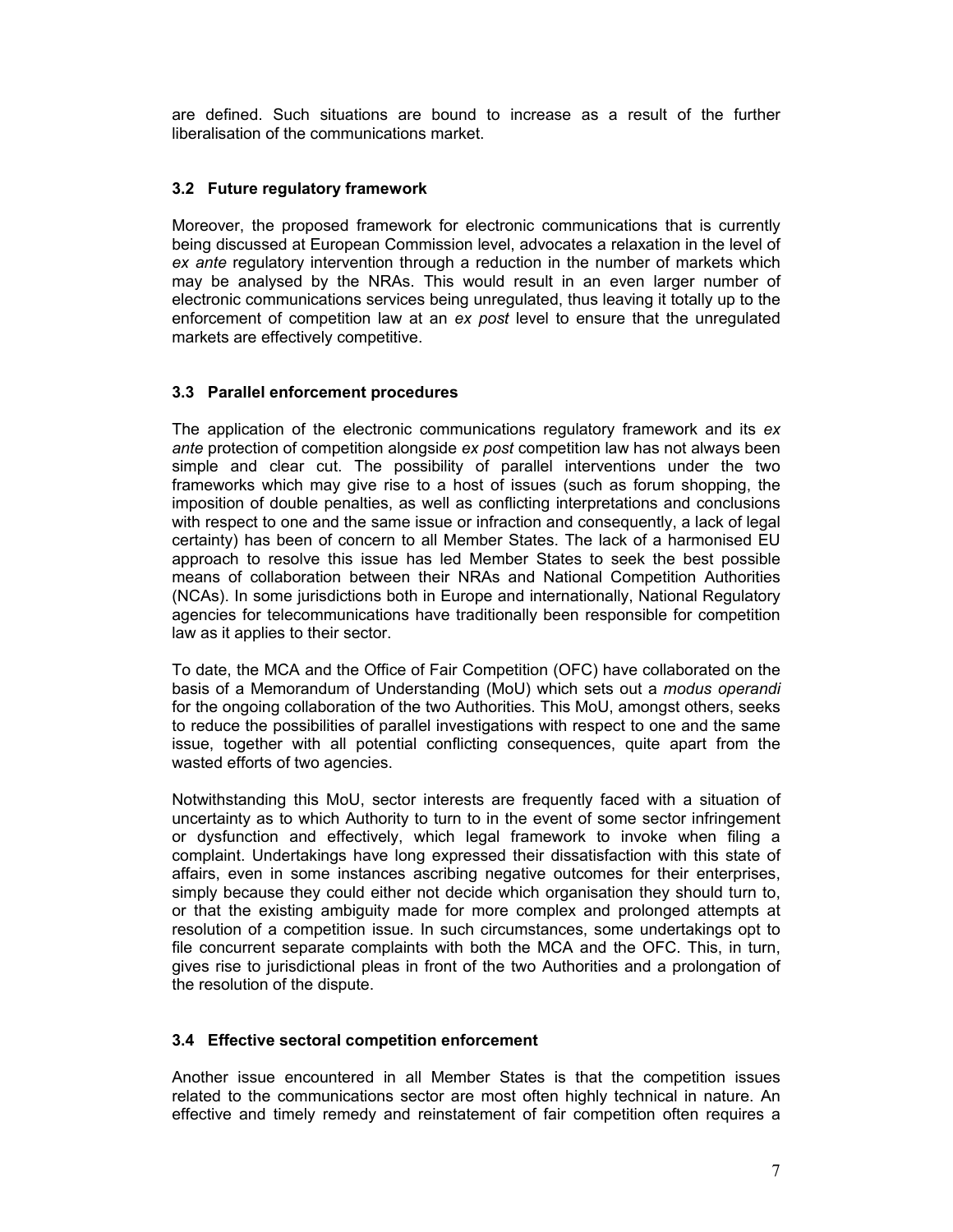are defined. Such situations are bound to increase as a result of the further liberalisation of the communications market.

### **3.2 Future regulatory framework**

Moreover, the proposed framework for electronic communications that is currently being discussed at European Commission level, advocates a relaxation in the level of *ex ante* regulatory intervention through a reduction in the number of markets which may be analysed by the NRAs. This would result in an even larger number of electronic communications services being unregulated, thus leaving it totally up to the enforcement of competition law at an *ex post* level to ensure that the unregulated markets are effectively competitive.

# **3.3 Parallel enforcement procedures**

The application of the electronic communications regulatory framework and its *ex ante* protection of competition alongside *ex post* competition law has not always been simple and clear cut. The possibility of parallel interventions under the two frameworks which may give rise to a host of issues (such as forum shopping, the imposition of double penalties, as well as conflicting interpretations and conclusions with respect to one and the same issue or infraction and consequently, a lack of legal certainty) has been of concern to all Member States. The lack of a harmonised EU approach to resolve this issue has led Member States to seek the best possible means of collaboration between their NRAs and National Competition Authorities (NCAs). In some jurisdictions both in Europe and internationally, National Regulatory agencies for telecommunications have traditionally been responsible for competition law as it applies to their sector.

To date, the MCA and the Office of Fair Competition (OFC) have collaborated on the basis of a Memorandum of Understanding (MoU) which sets out a *modus operandi*  for the ongoing collaboration of the two Authorities. This MoU, amongst others, seeks to reduce the possibilities of parallel investigations with respect to one and the same issue, together with all potential conflicting consequences, quite apart from the wasted efforts of two agencies.

Notwithstanding this MoU, sector interests are frequently faced with a situation of uncertainty as to which Authority to turn to in the event of some sector infringement or dysfunction and effectively, which legal framework to invoke when filing a complaint. Undertakings have long expressed their dissatisfaction with this state of affairs, even in some instances ascribing negative outcomes for their enterprises, simply because they could either not decide which organisation they should turn to, or that the existing ambiguity made for more complex and prolonged attempts at resolution of a competition issue. In such circumstances, some undertakings opt to file concurrent separate complaints with both the MCA and the OFC. This, in turn, gives rise to jurisdictional pleas in front of the two Authorities and a prolongation of the resolution of the dispute.

### **3.4 Effective sectoral competition enforcement**

Another issue encountered in all Member States is that the competition issues related to the communications sector are most often highly technical in nature. An effective and timely remedy and reinstatement of fair competition often requires a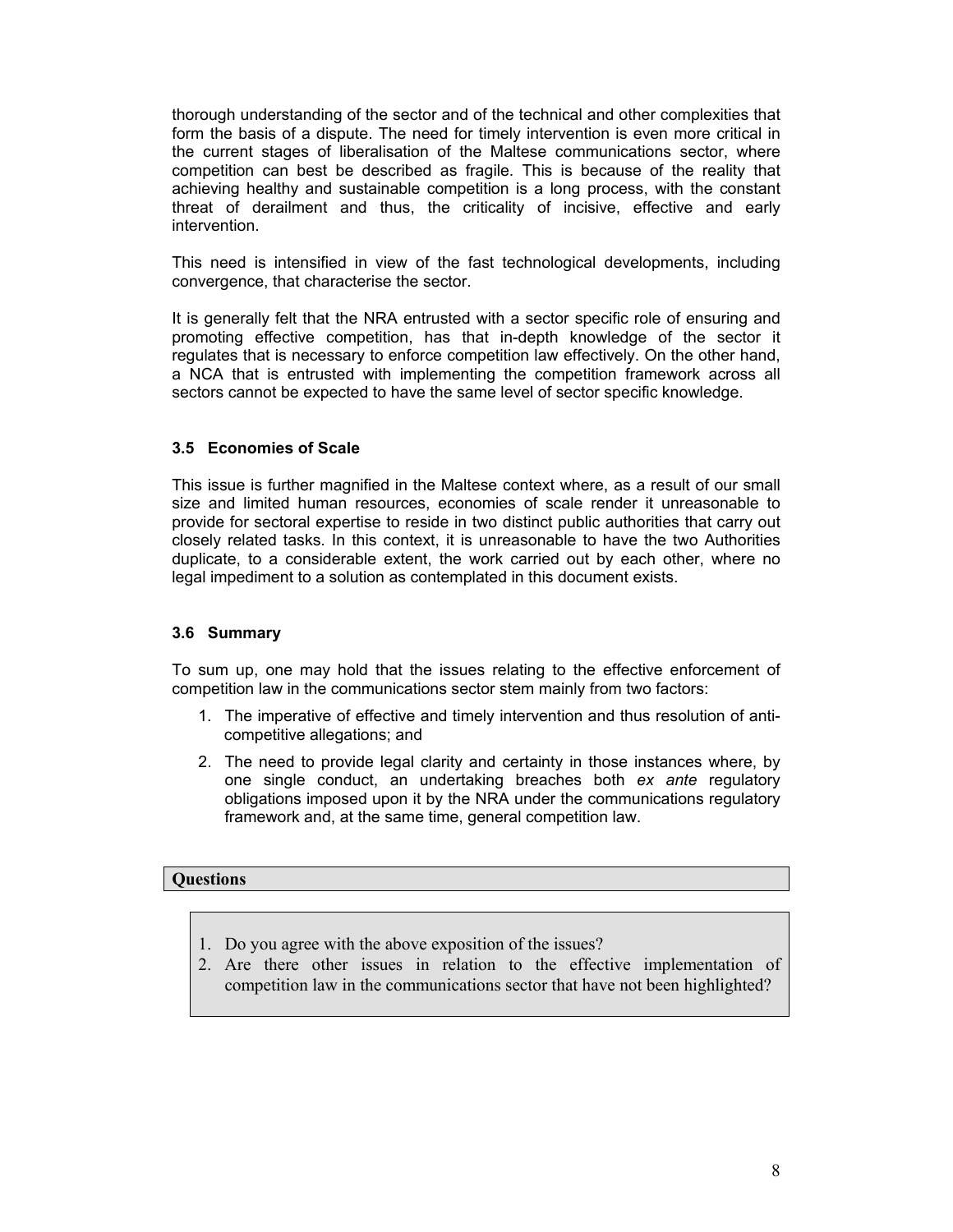thorough understanding of the sector and of the technical and other complexities that form the basis of a dispute. The need for timely intervention is even more critical in the current stages of liberalisation of the Maltese communications sector, where competition can best be described as fragile. This is because of the reality that achieving healthy and sustainable competition is a long process, with the constant threat of derailment and thus, the criticality of incisive, effective and early intervention.

This need is intensified in view of the fast technological developments, including convergence, that characterise the sector.

It is generally felt that the NRA entrusted with a sector specific role of ensuring and promoting effective competition, has that in-depth knowledge of the sector it regulates that is necessary to enforce competition law effectively. On the other hand, a NCA that is entrusted with implementing the competition framework across all sectors cannot be expected to have the same level of sector specific knowledge.

#### **3.5 Economies of Scale**

This issue is further magnified in the Maltese context where, as a result of our small size and limited human resources, economies of scale render it unreasonable to provide for sectoral expertise to reside in two distinct public authorities that carry out closely related tasks. In this context, it is unreasonable to have the two Authorities duplicate, to a considerable extent, the work carried out by each other, where no legal impediment to a solution as contemplated in this document exists.

#### **3.6 Summary**

To sum up, one may hold that the issues relating to the effective enforcement of competition law in the communications sector stem mainly from two factors:

- 1. The imperative of effective and timely intervention and thus resolution of anticompetitive allegations; and
- 2. The need to provide legal clarity and certainty in those instances where, by one single conduct, an undertaking breaches both *ex ante* regulatory obligations imposed upon it by the NRA under the communications regulatory framework and, at the same time, general competition law.

#### **Questions**

- 1. Do you agree with the above exposition of the issues?
- 2. Are there other issues in relation to the effective implementation of competition law in the communications sector that have not been highlighted?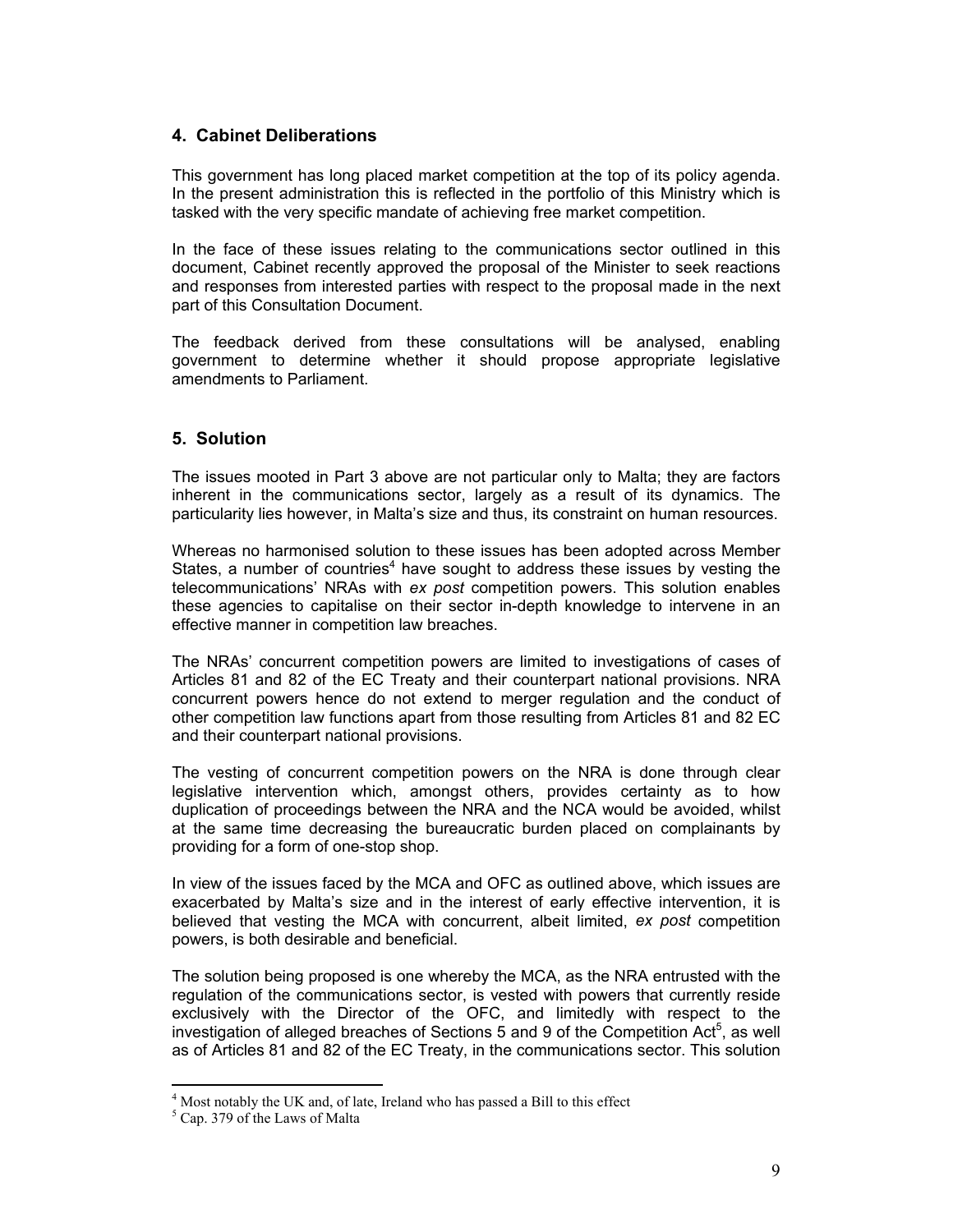# **4. Cabinet Deliberations**

This government has long placed market competition at the top of its policy agenda. In the present administration this is reflected in the portfolio of this Ministry which is tasked with the very specific mandate of achieving free market competition.

In the face of these issues relating to the communications sector outlined in this document, Cabinet recently approved the proposal of the Minister to seek reactions and responses from interested parties with respect to the proposal made in the next part of this Consultation Document.

The feedback derived from these consultations will be analysed, enabling government to determine whether it should propose appropriate legislative amendments to Parliament.

# **5. Solution**

The issues mooted in Part 3 above are not particular only to Malta; they are factors inherent in the communications sector, largely as a result of its dynamics. The particularity lies however, in Malta's size and thus, its constraint on human resources.

Whereas no harmonised solution to these issues has been adopted across Member States, a number of countries<sup>4</sup> have sought to address these issues by vesting the telecommunications' NRAs with *ex post* competition powers. This solution enables these agencies to capitalise on their sector in-depth knowledge to intervene in an effective manner in competition law breaches.

The NRAs' concurrent competition powers are limited to investigations of cases of Articles 81 and 82 of the EC Treaty and their counterpart national provisions. NRA concurrent powers hence do not extend to merger regulation and the conduct of other competition law functions apart from those resulting from Articles 81 and 82 EC and their counterpart national provisions.

The vesting of concurrent competition powers on the NRA is done through clear legislative intervention which, amongst others, provides certainty as to how duplication of proceedings between the NRA and the NCA would be avoided, whilst at the same time decreasing the bureaucratic burden placed on complainants by providing for a form of one-stop shop.

In view of the issues faced by the MCA and OFC as outlined above, which issues are exacerbated by Malta's size and in the interest of early effective intervention, it is believed that vesting the MCA with concurrent, albeit limited, *ex post* competition powers, is both desirable and beneficial.

The solution being proposed is one whereby the MCA, as the NRA entrusted with the regulation of the communications sector, is vested with powers that currently reside exclusively with the Director of the OFC, and limitedly with respect to the investigation of alleged breaches of Sections 5 and 9 of the Competition Act<sup>5</sup>, as well as of Articles 81 and 82 of the EC Treaty, in the communications sector. This solution

<sup>&</sup>lt;sup>4</sup> Most notably the UK and, of late, Ireland who has passed a Bill to this effect

<sup>5</sup> Cap. 379 of the Laws of Malta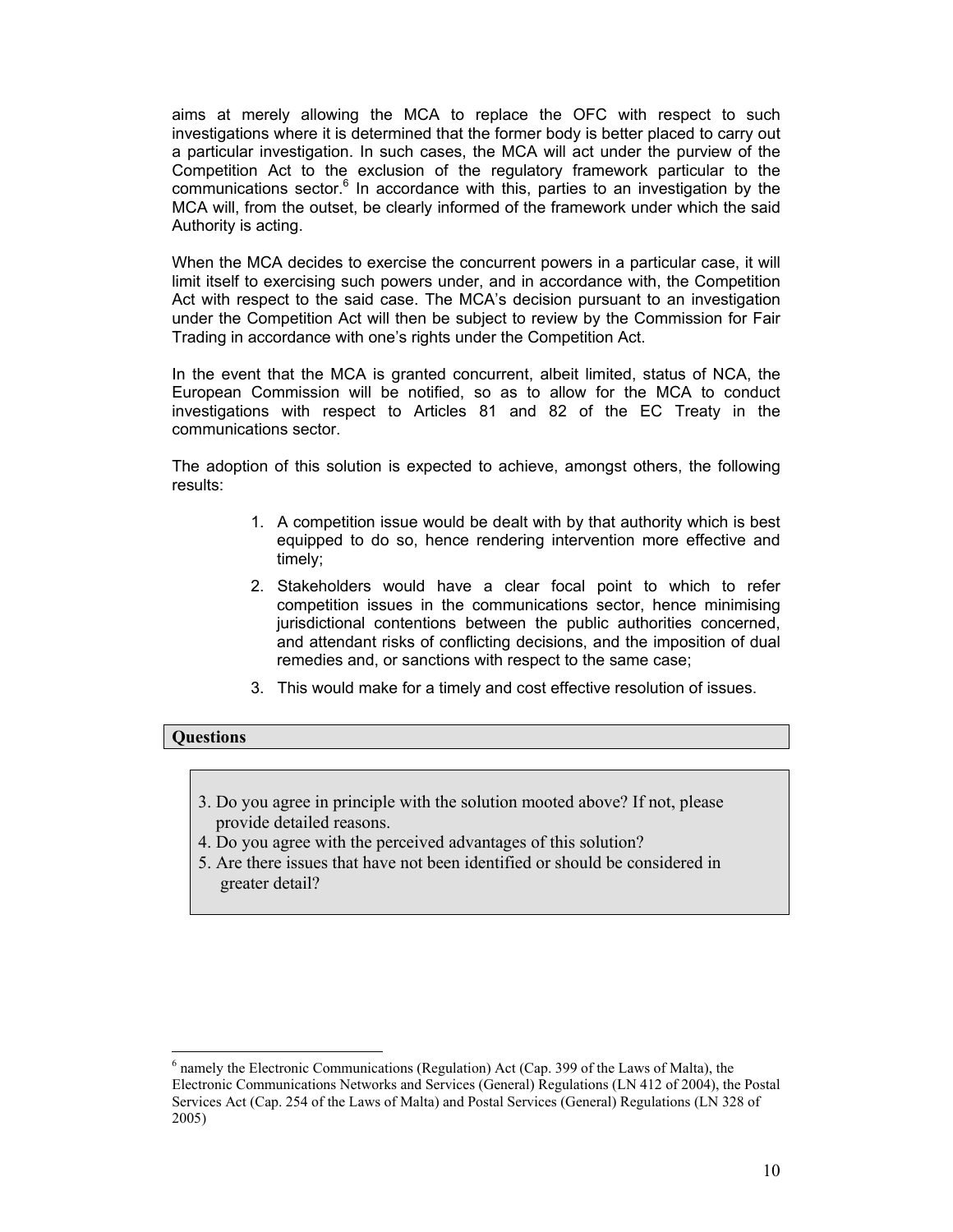aims at merely allowing the MCA to replace the OFC with respect to such investigations where it is determined that the former body is better placed to carry out a particular investigation. In such cases, the MCA will act under the purview of the Competition Act to the exclusion of the regulatory framework particular to the  $communications sector.<sup>6</sup>$  In accordance with this, parties to an investigation by the MCA will, from the outset, be clearly informed of the framework under which the said Authority is acting.

When the MCA decides to exercise the concurrent powers in a particular case, it will limit itself to exercising such powers under, and in accordance with, the Competition Act with respect to the said case. The MCA's decision pursuant to an investigation under the Competition Act will then be subject to review by the Commission for Fair Trading in accordance with one's rights under the Competition Act.

In the event that the MCA is granted concurrent, albeit limited, status of NCA, the European Commission will be notified, so as to allow for the MCA to conduct investigations with respect to Articles 81 and 82 of the EC Treaty in the communications sector.

The adoption of this solution is expected to achieve, amongst others, the following results:

- 1. A competition issue would be dealt with by that authority which is best equipped to do so, hence rendering intervention more effective and timely;
- 2. Stakeholders would have a clear focal point to which to refer competition issues in the communications sector, hence minimising jurisdictional contentions between the public authorities concerned, and attendant risks of conflicting decisions, and the imposition of dual remedies and, or sanctions with respect to the same case;
- 3. This would make for a timely and cost effective resolution of issues.

#### **Questions**

- 3. Do you agree in principle with the solution mooted above? If not, please provide detailed reasons.
- 4. Do you agree with the perceived advantages of this solution?
- 5. Are there issues that have not been identified or should be considered in greater detail?

<sup>&</sup>lt;sup>6</sup> namely the Electronic Communications (Regulation) Act (Cap. 399 of the Laws of Malta), the Electronic Communications Networks and Services (General) Regulations (LN 412 of 2004), the Postal Services Act (Cap. 254 of the Laws of Malta) and Postal Services (General) Regulations (LN 328 of 2005)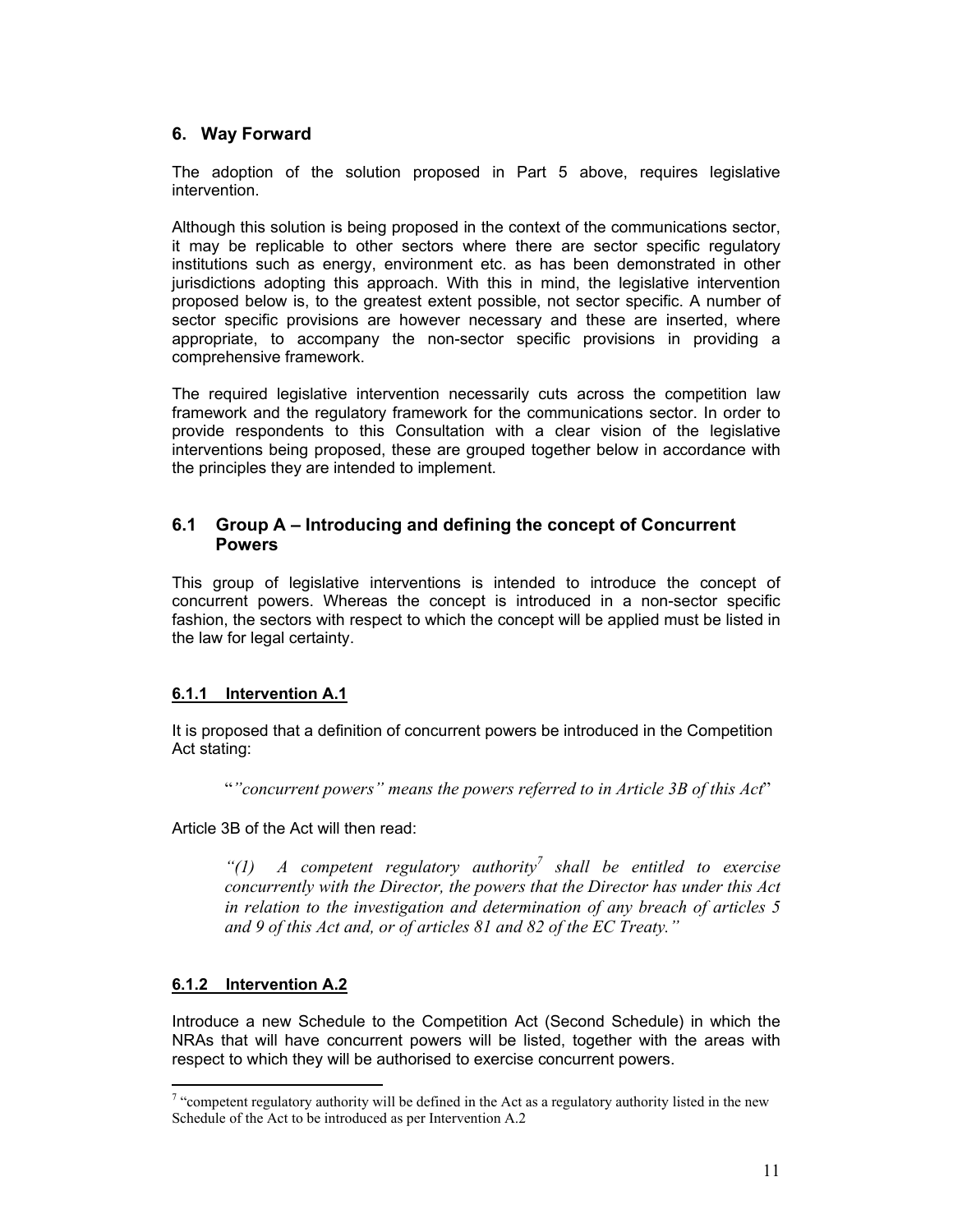# **6. Way Forward**

The adoption of the solution proposed in Part 5 above, requires legislative intervention.

Although this solution is being proposed in the context of the communications sector, it may be replicable to other sectors where there are sector specific regulatory institutions such as energy, environment etc. as has been demonstrated in other jurisdictions adopting this approach. With this in mind, the legislative intervention proposed below is, to the greatest extent possible, not sector specific. A number of sector specific provisions are however necessary and these are inserted, where appropriate, to accompany the non-sector specific provisions in providing a comprehensive framework.

The required legislative intervention necessarily cuts across the competition law framework and the regulatory framework for the communications sector. In order to provide respondents to this Consultation with a clear vision of the legislative interventions being proposed, these are grouped together below in accordance with the principles they are intended to implement.

# **6.1 Group A – Introducing and defining the concept of Concurrent Powers**

This group of legislative interventions is intended to introduce the concept of concurrent powers. Whereas the concept is introduced in a non-sector specific fashion, the sectors with respect to which the concept will be applied must be listed in the law for legal certainty.

# **6.1.1 Intervention A.1**

It is proposed that a definition of concurrent powers be introduced in the Competition Act stating:

"*"concurrent powers" means the powers referred to in Article 3B of this Act*"

Article 3B of the Act will then read:

*"(1) A competent regulatory authority7 shall be entitled to exercise concurrently with the Director, the powers that the Director has under this Act in relation to the investigation and determination of any breach of articles 5 and 9 of this Act and, or of articles 81 and 82 of the EC Treaty."* 

# **6.1.2 Intervention A.2**

 $\overline{a}$ 

Introduce a new Schedule to the Competition Act (Second Schedule) in which the NRAs that will have concurrent powers will be listed, together with the areas with respect to which they will be authorised to exercise concurrent powers.

 $7$  "competent regulatory authority will be defined in the Act as a regulatory authority listed in the new Schedule of the Act to be introduced as per Intervention A.2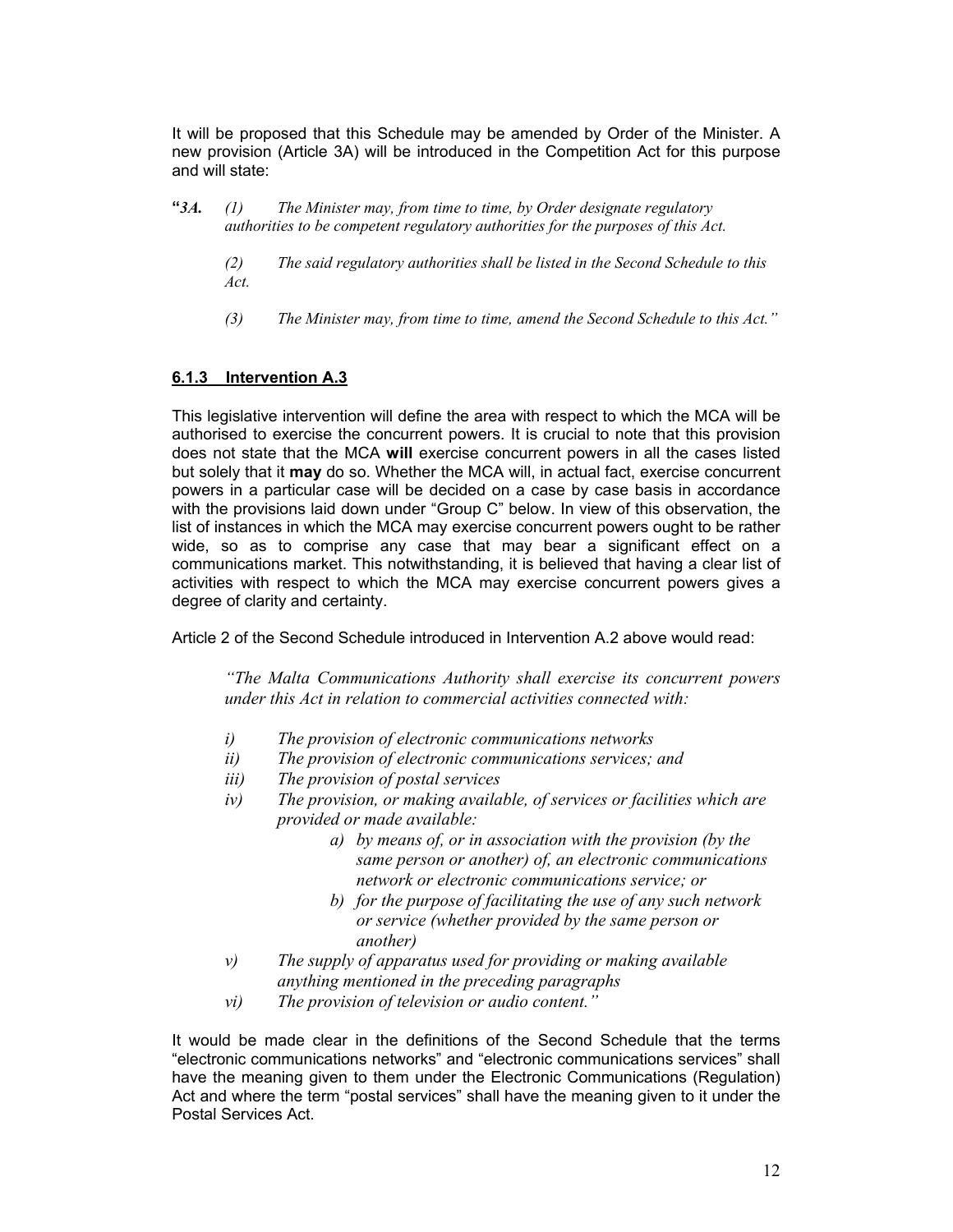It will be proposed that this Schedule may be amended by Order of the Minister. A new provision (Article 3A) will be introduced in the Competition Act for this purpose and will state:

- **"***3A. (1) The Minister may, from time to time, by Order designate regulatory authorities to be competent regulatory authorities for the purposes of this Act.* 
	- *(2) The said regulatory authorities shall be listed in the Second Schedule to this Act.*
	- *(3) The Minister may, from time to time, amend the Second Schedule to this Act."*

# **6.1.3 Intervention A.3**

This legislative intervention will define the area with respect to which the MCA will be authorised to exercise the concurrent powers. It is crucial to note that this provision does not state that the MCA **will** exercise concurrent powers in all the cases listed but solely that it **may** do so. Whether the MCA will, in actual fact, exercise concurrent powers in a particular case will be decided on a case by case basis in accordance with the provisions laid down under "Group C" below. In view of this observation, the list of instances in which the MCA may exercise concurrent powers ought to be rather wide, so as to comprise any case that may bear a significant effect on a communications market. This notwithstanding, it is believed that having a clear list of activities with respect to which the MCA may exercise concurrent powers gives a degree of clarity and certainty.

Article 2 of the Second Schedule introduced in Intervention A.2 above would read:

*"The Malta Communications Authority shall exercise its concurrent powers under this Act in relation to commercial activities connected with:* 

- *i) The provision of electronic communications networks*
- *ii) The provision of electronic communications services; and*
- *iii) The provision of postal services*
- *iv) The provision, or making available, of services or facilities which are provided or made available:* 
	- *a) by means of, or in association with the provision (by the same person or another) of, an electronic communications network or electronic communications service; or*
	- *b) for the purpose of facilitating the use of any such network or service (whether provided by the same person or another)*
- *v) The supply of apparatus used for providing or making available anything mentioned in the preceding paragraphs*
- *vi) The provision of television or audio content."*

It would be made clear in the definitions of the Second Schedule that the terms "electronic communications networks" and "electronic communications services" shall have the meaning given to them under the Electronic Communications (Regulation) Act and where the term "postal services" shall have the meaning given to it under the Postal Services Act.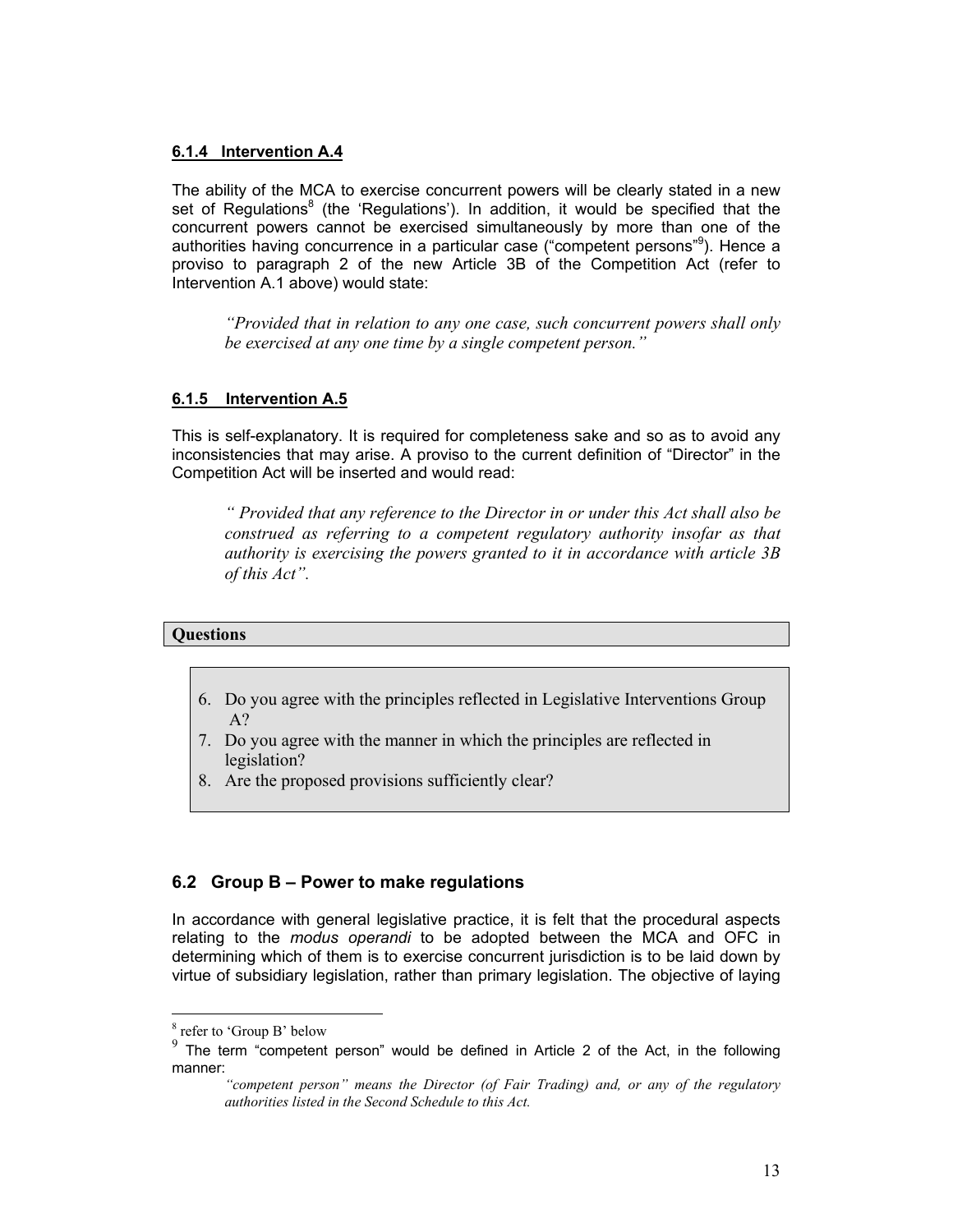#### **6.1.4 Intervention A.4**

The ability of the MCA to exercise concurrent powers will be clearly stated in a new set of Regulations<sup>8</sup> (the 'Regulations'). In addition, it would be specified that the concurrent powers cannot be exercised simultaneously by more than one of the authorities having concurrence in a particular case ("competent persons"9 ). Hence a proviso to paragraph 2 of the new Article 3B of the Competition Act (refer to Intervention A.1 above) would state:

 *"Provided that in relation to any one case, such concurrent powers shall only be exercised at any one time by a single competent person."*

#### **6.1.5 Intervention A.5**

This is self-explanatory. It is required for completeness sake and so as to avoid any inconsistencies that may arise. A proviso to the current definition of "Director" in the Competition Act will be inserted and would read:

*" Provided that any reference to the Director in or under this Act shall also be construed as referring to a competent regulatory authority insofar as that authority is exercising the powers granted to it in accordance with article 3B of this Act".* 

#### **Questions**

- 6. Do you agree with the principles reflected in Legislative Interventions Group A?
- 7. Do you agree with the manner in which the principles are reflected in legislation?
- 8. Are the proposed provisions sufficiently clear?

### **6.2 Group B – Power to make regulations**

In accordance with general legislative practice, it is felt that the procedural aspects relating to the *modus operandi* to be adopted between the MCA and OFC in determining which of them is to exercise concurrent jurisdiction is to be laid down by virtue of subsidiary legislation, rather than primary legislation. The objective of laying

<sup>8</sup> refer to 'Group B' below

<sup>9</sup> The term "competent person" would be defined in Article 2 of the Act, in the following manner:

*<sup>&</sup>quot;competent person" means the Director (of Fair Trading) and, or any of the regulatory authorities listed in the Second Schedule to this Act.*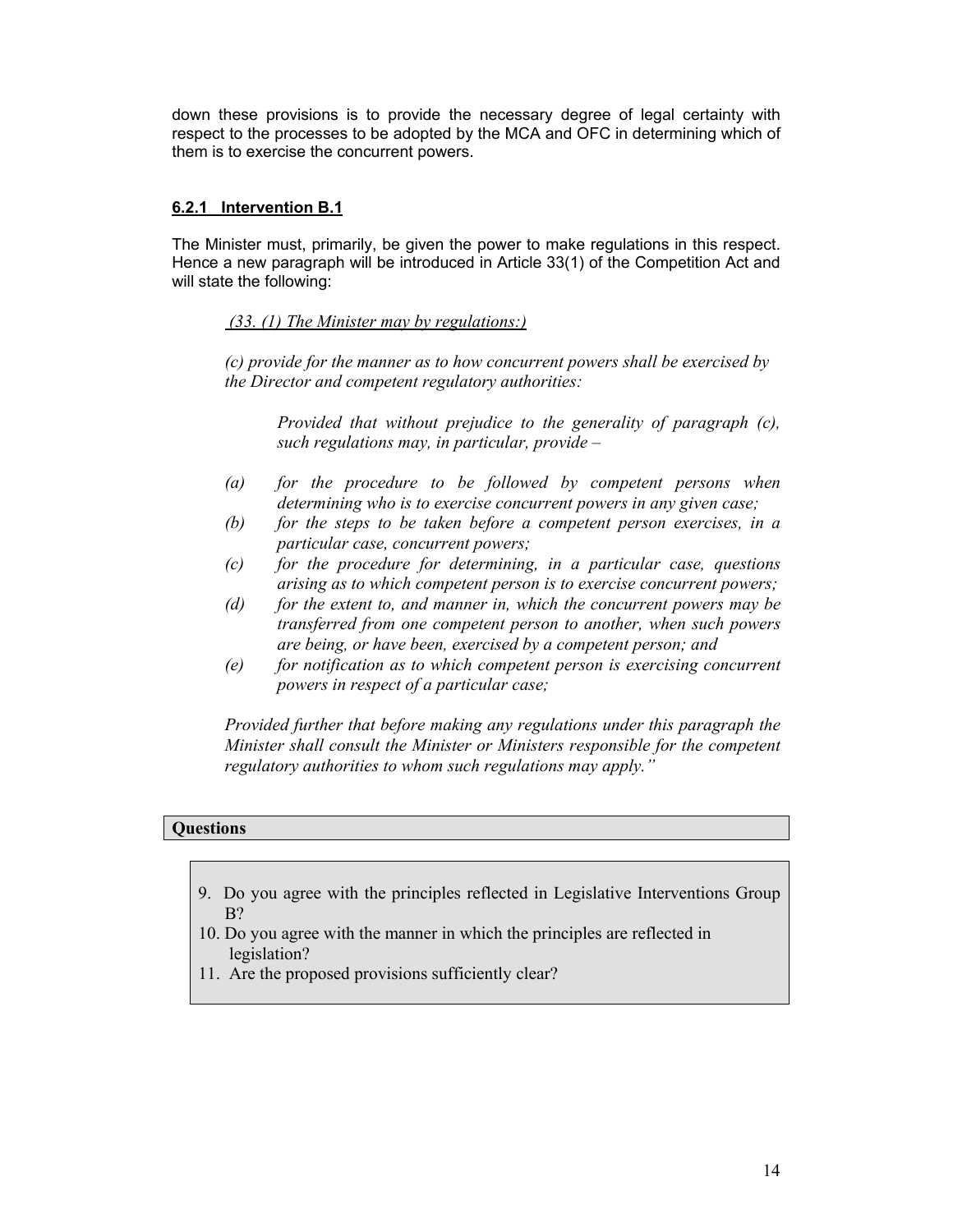down these provisions is to provide the necessary degree of legal certainty with respect to the processes to be adopted by the MCA and OFC in determining which of them is to exercise the concurrent powers.

### **6.2.1 Intervention B.1**

The Minister must, primarily, be given the power to make regulations in this respect. Hence a new paragraph will be introduced in Article 33(1) of the Competition Act and will state the following:

# *(33. (1) The Minister may by regulations:)*

*(c) provide for the manner as to how concurrent powers shall be exercised by the Director and competent regulatory authorities:* 

*Provided that without prejudice to the generality of paragraph (c), such regulations may, in particular, provide –* 

- *(a) for the procedure to be followed by competent persons when determining who is to exercise concurrent powers in any given case;*
- *(b) for the steps to be taken before a competent person exercises, in a particular case, concurrent powers;*
- *(c) for the procedure for determining, in a particular case, questions arising as to which competent person is to exercise concurrent powers;*
- *(d) for the extent to, and manner in, which the concurrent powers may be transferred from one competent person to another, when such powers are being, or have been, exercised by a competent person; and*
- *(e) for notification as to which competent person is exercising concurrent powers in respect of a particular case;*

*Provided further that before making any regulations under this paragraph the Minister shall consult the Minister or Ministers responsible for the competent regulatory authorities to whom such regulations may apply."* 

### **Questions**

- 9. Do you agree with the principles reflected in Legislative Interventions Group B?
- 10. Do you agree with the manner in which the principles are reflected in legislation?
- 11. Are the proposed provisions sufficiently clear?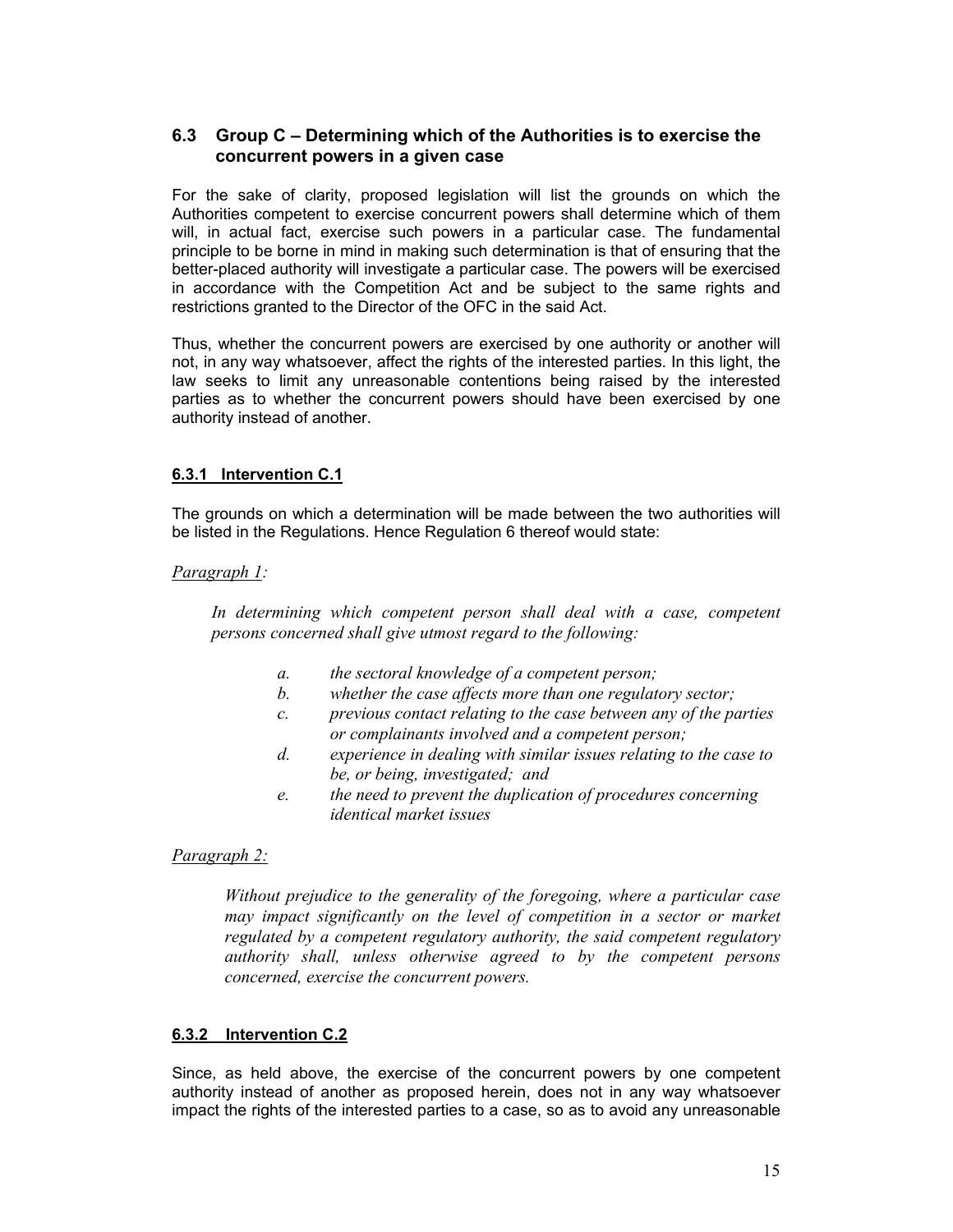### **6.3 Group C – Determining which of the Authorities is to exercise the concurrent powers in a given case**

For the sake of clarity, proposed legislation will list the grounds on which the Authorities competent to exercise concurrent powers shall determine which of them will, in actual fact, exercise such powers in a particular case. The fundamental principle to be borne in mind in making such determination is that of ensuring that the better-placed authority will investigate a particular case. The powers will be exercised in accordance with the Competition Act and be subject to the same rights and restrictions granted to the Director of the OFC in the said Act.

Thus, whether the concurrent powers are exercised by one authority or another will not, in any way whatsoever, affect the rights of the interested parties. In this light, the law seeks to limit any unreasonable contentions being raised by the interested parties as to whether the concurrent powers should have been exercised by one authority instead of another.

# **6.3.1 Intervention C.1**

The grounds on which a determination will be made between the two authorities will be listed in the Regulations. Hence Regulation 6 thereof would state:

### *Paragraph 1:*

In determining which competent person shall deal with a case, competent *persons concerned shall give utmost regard to the following:* 

- *a. the sectoral knowledge of a competent person;*
- *b. whether the case affects more than one regulatory sector;*
- *c. previous contact relating to the case between any of the parties or complainants involved and a competent person;*
- *d. experience in dealing with similar issues relating to the case to be, or being, investigated; and*
- *e. the need to prevent the duplication of procedures concerning identical market issues*

### *Paragraph 2:*

*Without prejudice to the generality of the foregoing, where a particular case may impact significantly on the level of competition in a sector or market regulated by a competent regulatory authority, the said competent regulatory authority shall, unless otherwise agreed to by the competent persons concerned, exercise the concurrent powers.* 

### **6.3.2 Intervention C.2**

Since, as held above, the exercise of the concurrent powers by one competent authority instead of another as proposed herein, does not in any way whatsoever impact the rights of the interested parties to a case, so as to avoid any unreasonable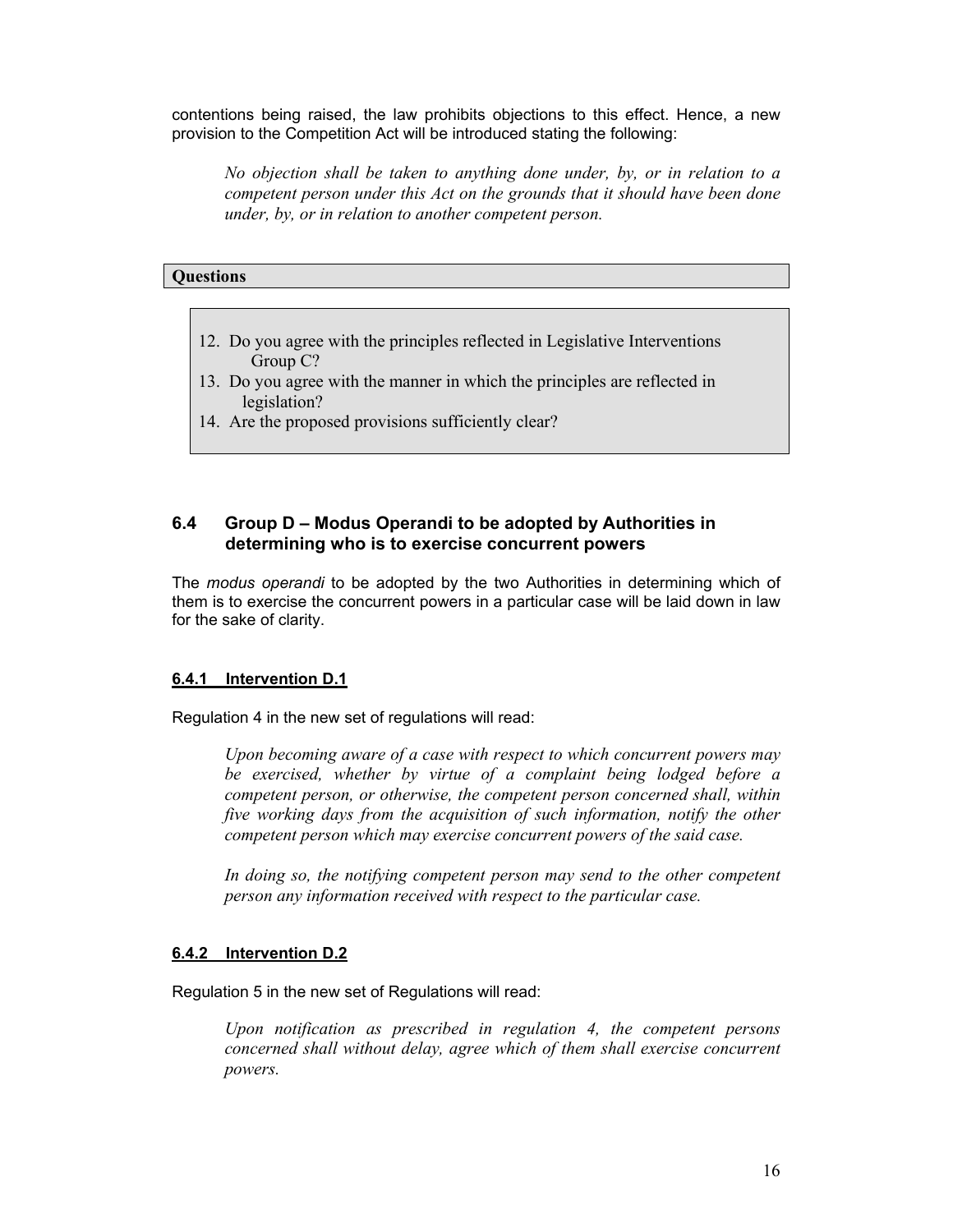contentions being raised, the law prohibits objections to this effect. Hence, a new provision to the Competition Act will be introduced stating the following:

*No objection shall be taken to anything done under, by, or in relation to a competent person under this Act on the grounds that it should have been done under, by, or in relation to another competent person.* 

### **Questions**

- 12. Do you agree with the principles reflected in Legislative Interventions Group C?
- 13. Do you agree with the manner in which the principles are reflected in legislation?
- 14. Are the proposed provisions sufficiently clear?

# **6.4 Group D – Modus Operandi to be adopted by Authorities in determining who is to exercise concurrent powers**

The *modus operandi* to be adopted by the two Authorities in determining which of them is to exercise the concurrent powers in a particular case will be laid down in law for the sake of clarity.

### **6.4.1 Intervention D.1**

Regulation 4 in the new set of regulations will read:

*Upon becoming aware of a case with respect to which concurrent powers may be exercised, whether by virtue of a complaint being lodged before a competent person, or otherwise, the competent person concerned shall, within five working days from the acquisition of such information, notify the other competent person which may exercise concurrent powers of the said case.* 

*In doing so, the notifying competent person may send to the other competent person any information received with respect to the particular case.*

### **6.4.2 Intervention D.2**

Regulation 5 in the new set of Regulations will read:

*Upon notification as prescribed in regulation 4, the competent persons concerned shall without delay, agree which of them shall exercise concurrent powers.*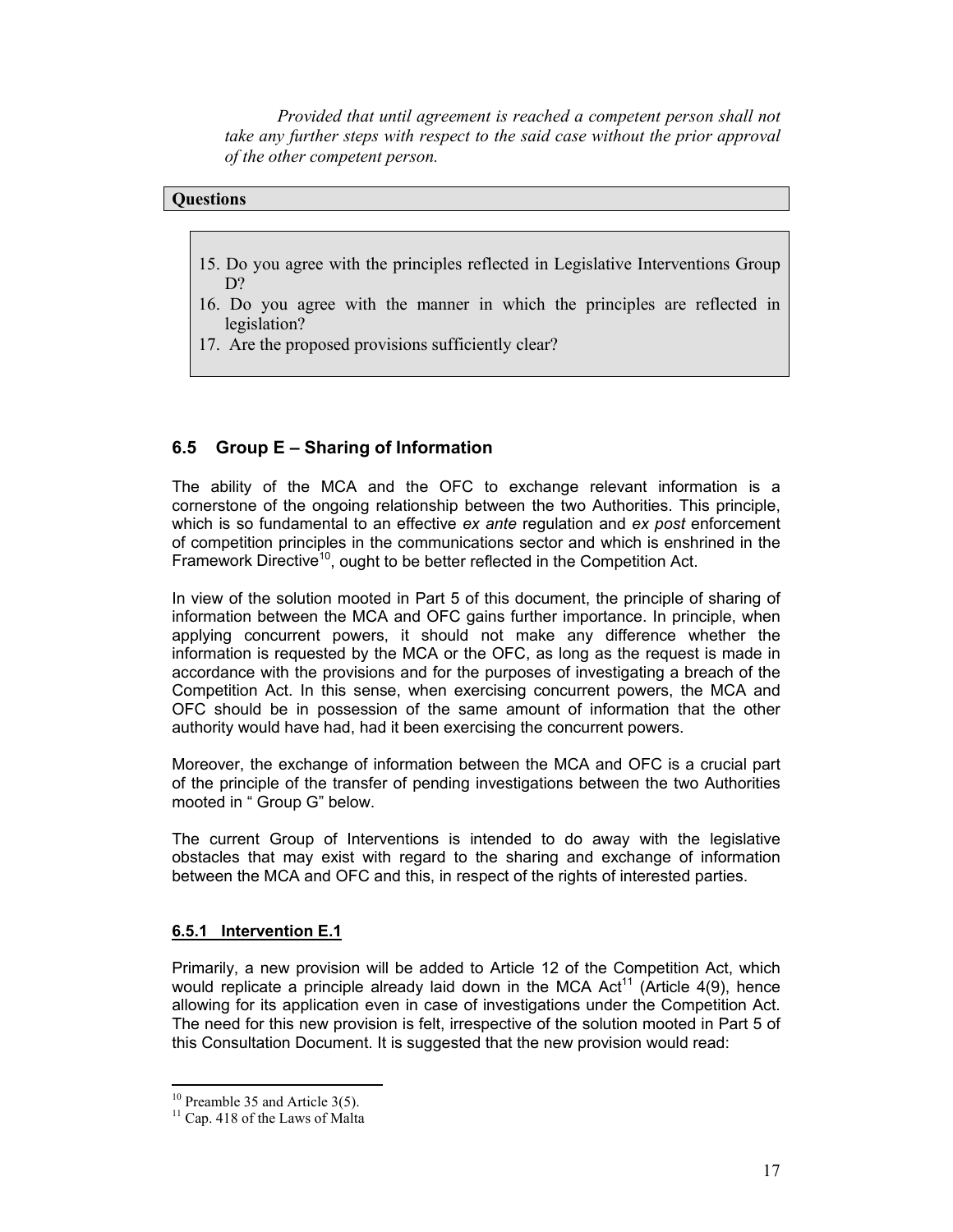*Provided that until agreement is reached a competent person shall not take any further steps with respect to the said case without the prior approval of the other competent person.*

# **Questions**

- 15. Do you agree with the principles reflected in Legislative Interventions Group D?
- 16. Do you agree with the manner in which the principles are reflected in legislation?
- 17. Are the proposed provisions sufficiently clear?

# **6.5 Group E – Sharing of Information**

The ability of the MCA and the OFC to exchange relevant information is a cornerstone of the ongoing relationship between the two Authorities. This principle, which is so fundamental to an effective *ex ante* regulation and *ex post* enforcement of competition principles in the communications sector and which is enshrined in the Framework Directive<sup>10</sup>, ought to be better reflected in the Competition Act.

In view of the solution mooted in Part 5 of this document, the principle of sharing of information between the MCA and OFC gains further importance. In principle, when applying concurrent powers, it should not make any difference whether the information is requested by the MCA or the OFC, as long as the request is made in accordance with the provisions and for the purposes of investigating a breach of the Competition Act. In this sense, when exercising concurrent powers, the MCA and OFC should be in possession of the same amount of information that the other authority would have had, had it been exercising the concurrent powers.

Moreover, the exchange of information between the MCA and OFC is a crucial part of the principle of the transfer of pending investigations between the two Authorities mooted in " Group G" below.

The current Group of Interventions is intended to do away with the legislative obstacles that may exist with regard to the sharing and exchange of information between the MCA and OFC and this, in respect of the rights of interested parties.

#### **6.5.1 Intervention E.1**

Primarily, a new provision will be added to Article 12 of the Competition Act, which would replicate a principle already laid down in the MCA Act<sup>11</sup> (Article 4(9), hence allowing for its application even in case of investigations under the Competition Act. The need for this new provision is felt, irrespective of the solution mooted in Part 5 of this Consultation Document. It is suggested that the new provision would read:

 $10$  Preamble 35 and Article 3(5).

<sup>&</sup>lt;sup>11</sup> Cap. 418 of the Laws of Malta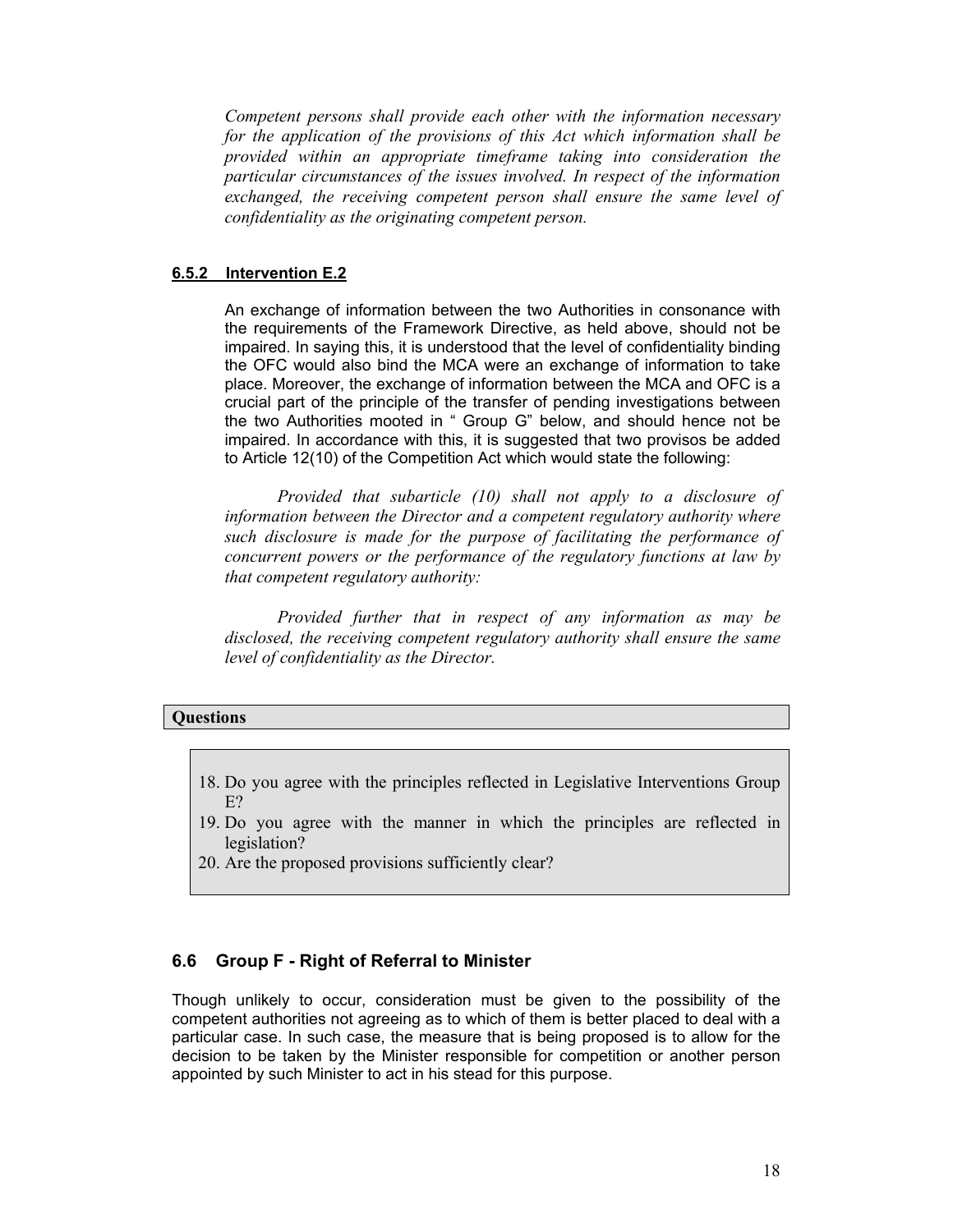*Competent persons shall provide each other with the information necessary for the application of the provisions of this Act which information shall be provided within an appropriate timeframe taking into consideration the particular circumstances of the issues involved. In respect of the information exchanged, the receiving competent person shall ensure the same level of confidentiality as the originating competent person.*

### **6.5.2 Intervention E.2**

An exchange of information between the two Authorities in consonance with the requirements of the Framework Directive, as held above, should not be impaired. In saying this, it is understood that the level of confidentiality binding the OFC would also bind the MCA were an exchange of information to take place. Moreover, the exchange of information between the MCA and OFC is a crucial part of the principle of the transfer of pending investigations between the two Authorities mooted in " Group G" below, and should hence not be impaired. In accordance with this, it is suggested that two provisos be added to Article 12(10) of the Competition Act which would state the following:

*Provided that subarticle (10) shall not apply to a disclosure of information between the Director and a competent regulatory authority where such disclosure is made for the purpose of facilitating the performance of concurrent powers or the performance of the regulatory functions at law by that competent regulatory authority:* 

*Provided further that in respect of any information as may be disclosed, the receiving competent regulatory authority shall ensure the same level of confidentiality as the Director.*

### **Questions**

- 18. Do you agree with the principles reflected in Legislative Interventions Group E?
- 19. Do you agree with the manner in which the principles are reflected in legislation?
- 20. Are the proposed provisions sufficiently clear?

### **6.6 Group F - Right of Referral to Minister**

Though unlikely to occur, consideration must be given to the possibility of the competent authorities not agreeing as to which of them is better placed to deal with a particular case. In such case, the measure that is being proposed is to allow for the decision to be taken by the Minister responsible for competition or another person appointed by such Minister to act in his stead for this purpose.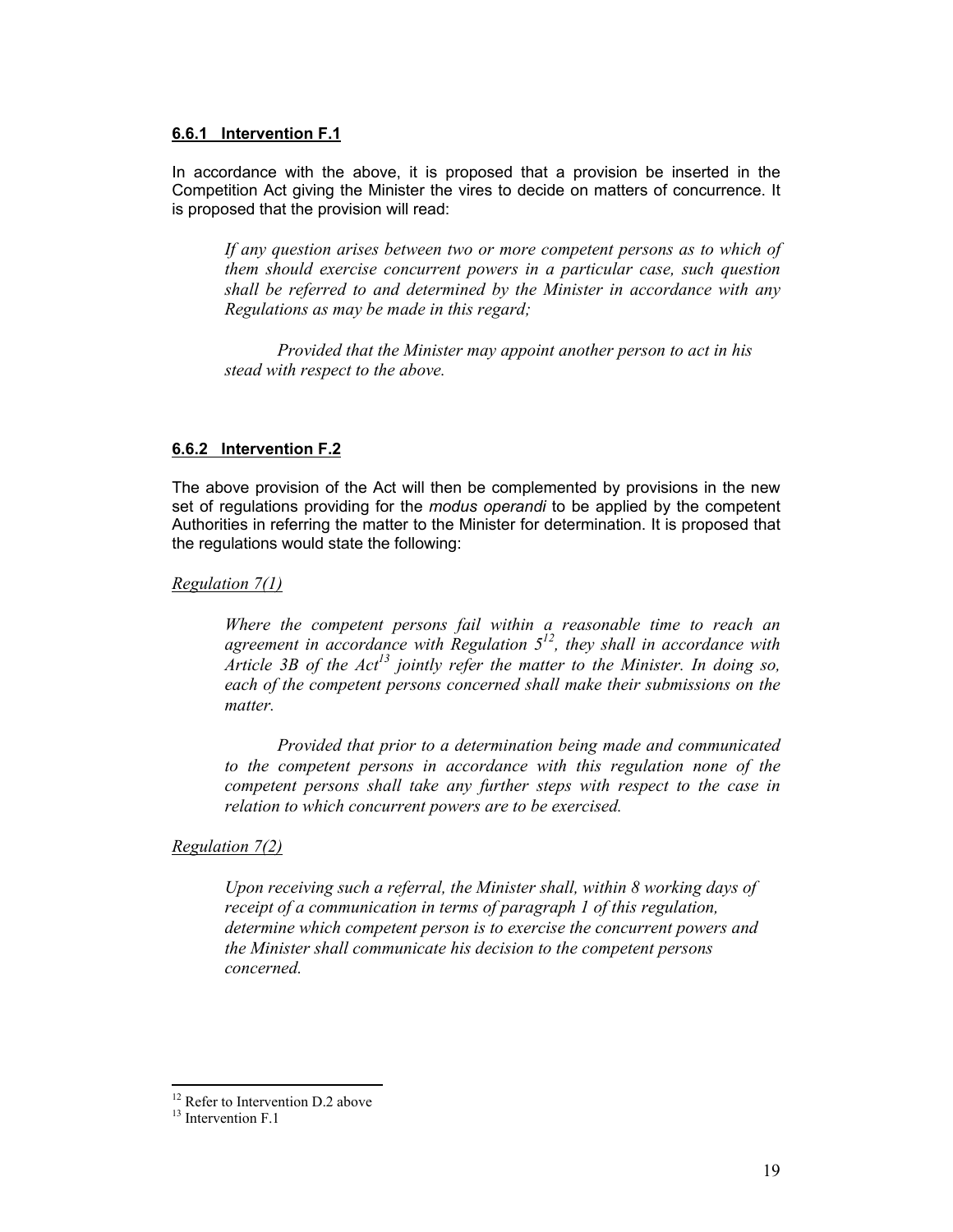#### **6.6.1 Intervention F.1**

In accordance with the above, it is proposed that a provision be inserted in the Competition Act giving the Minister the vires to decide on matters of concurrence. It is proposed that the provision will read:

*If any question arises between two or more competent persons as to which of them should exercise concurrent powers in a particular case, such question shall be referred to and determined by the Minister in accordance with any Regulations as may be made in this regard;*

*Provided that the Minister may appoint another person to act in his stead with respect to the above.*

# **6.6.2 Intervention F.2**

The above provision of the Act will then be complemented by provisions in the new set of regulations providing for the *modus operandi* to be applied by the competent Authorities in referring the matter to the Minister for determination. It is proposed that the regulations would state the following:

*Regulation 7(1)*

*Where the competent persons fail within a reasonable time to reach an agreement in accordance with Regulation 512, they shall in accordance with Article 3B of the Act13 jointly refer the matter to the Minister. In doing so, each of the competent persons concerned shall make their submissions on the matter.* 

*Provided that prior to a determination being made and communicated to the competent persons in accordance with this regulation none of the competent persons shall take any further steps with respect to the case in relation to which concurrent powers are to be exercised.* 

*Regulation 7(2)*

*Upon receiving such a referral, the Minister shall, within 8 working days of receipt of a communication in terms of paragraph 1 of this regulation, determine which competent person is to exercise the concurrent powers and the Minister shall communicate his decision to the competent persons concerned.* 

<sup>&</sup>lt;sup>12</sup> Refer to Intervention D.2 above

<sup>&</sup>lt;sup>13</sup> Intervention F.1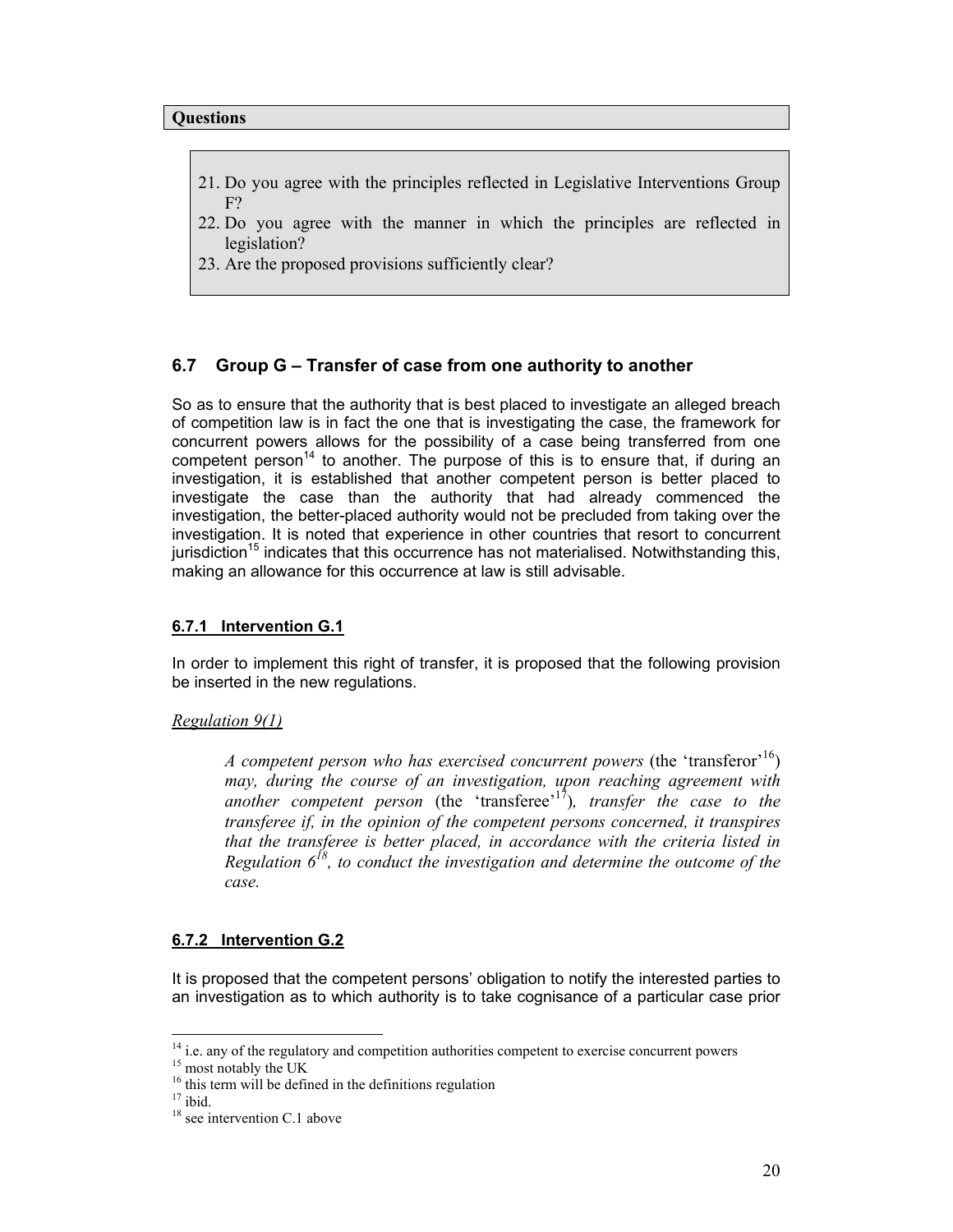- 21. Do you agree with the principles reflected in Legislative Interventions Group F?
- 22. Do you agree with the manner in which the principles are reflected in legislation?
- 23. Are the proposed provisions sufficiently clear?

#### **6.7 Group G – Transfer of case from one authority to another**

So as to ensure that the authority that is best placed to investigate an alleged breach of competition law is in fact the one that is investigating the case, the framework for concurrent powers allows for the possibility of a case being transferred from one competent person<sup>14</sup> to another. The purpose of this is to ensure that, if during an investigation, it is established that another competent person is better placed to investigate the case than the authority that had already commenced the investigation, the better-placed authority would not be precluded from taking over the investigation. It is noted that experience in other countries that resort to concurrent  $j$ urisdiction<sup>15</sup> indicates that this occurrence has not materialised. Notwithstanding this, making an allowance for this occurrence at law is still advisable.

#### **6.7.1 Intervention G.1**

In order to implement this right of transfer, it is proposed that the following provision be inserted in the new regulations.

#### *Regulation 9(1)*

*A competent person who has exercised concurrent powers* (the 'transferor'<sup>16</sup>) *may, during the course of an investigation, upon reaching agreement with another competent person* (the 'transferee'17)*, transfer the case to the transferee if, in the opinion of the competent persons concerned, it transpires that the transferee is better placed, in accordance with the criteria listed in Regulation*  $6^{18}$ , to conduct the investigation and determine the outcome of the *case.* 

#### **6.7.2 Intervention G.2**

It is proposed that the competent persons' obligation to notify the interested parties to an investigation as to which authority is to take cognisance of a particular case prior

<sup>&</sup>lt;sup>14</sup> i.e. any of the regulatory and competition authorities competent to exercise concurrent powers

<sup>&</sup>lt;sup>15</sup> most notably the UK

<sup>&</sup>lt;sup>16</sup> this term will be defined in the definitions regulation

 $17$  ibid.

<sup>&</sup>lt;sup>18</sup> see intervention C.1 above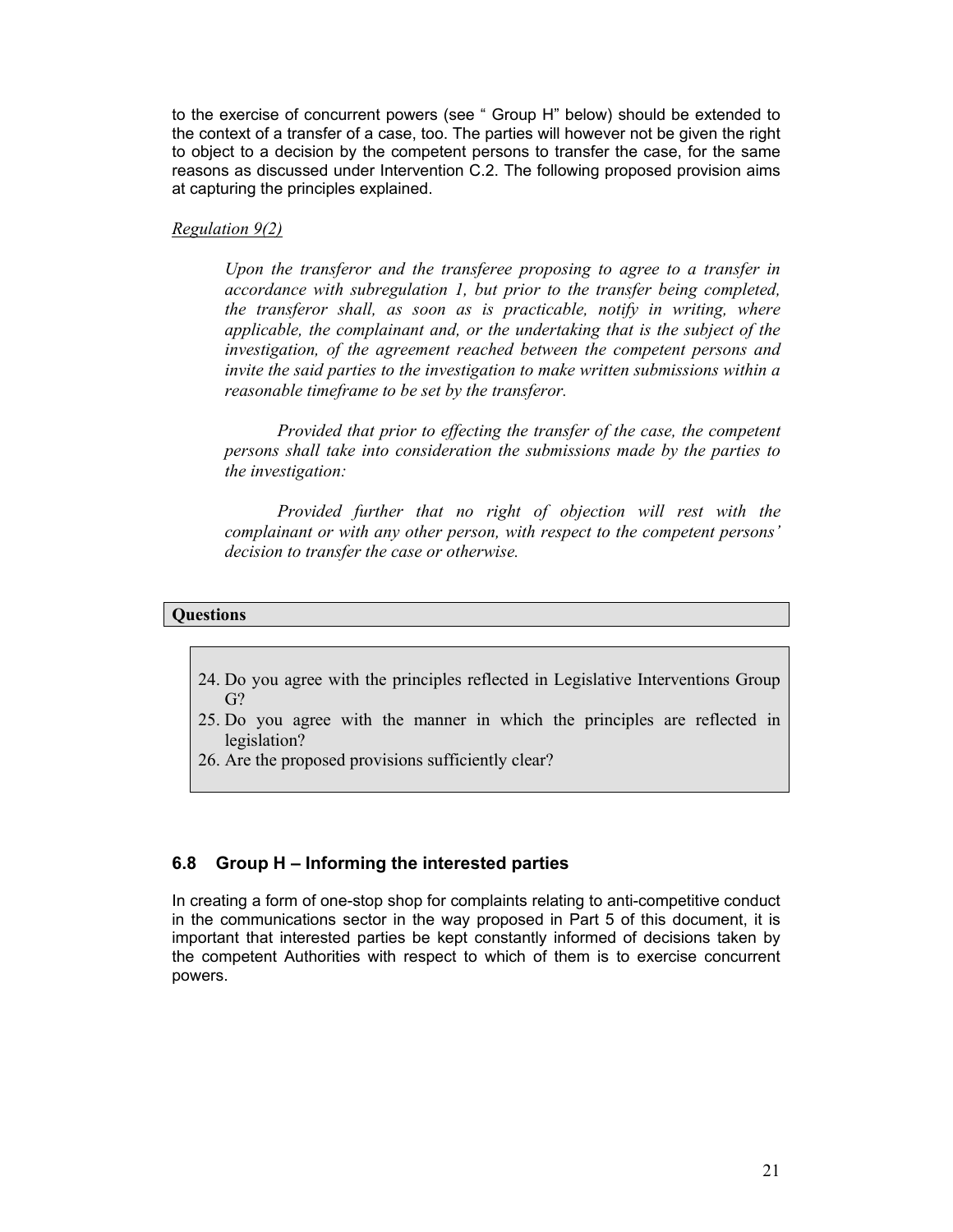to the exercise of concurrent powers (see " Group H" below) should be extended to the context of a transfer of a case, too. The parties will however not be given the right to object to a decision by the competent persons to transfer the case, for the same reasons as discussed under Intervention C.2. The following proposed provision aims at capturing the principles explained.

#### *Regulation 9(2)*

*Upon the transferor and the transferee proposing to agree to a transfer in accordance with subregulation 1, but prior to the transfer being completed, the transferor shall, as soon as is practicable, notify in writing, where applicable, the complainant and, or the undertaking that is the subject of the investigation, of the agreement reached between the competent persons and invite the said parties to the investigation to make written submissions within a reasonable timeframe to be set by the transferor.* 

*Provided that prior to effecting the transfer of the case, the competent persons shall take into consideration the submissions made by the parties to the investigation:* 

*Provided further that no right of objection will rest with the complainant or with any other person, with respect to the competent persons' decision to transfer the case or otherwise.*

#### **Questions**

- 24. Do you agree with the principles reflected in Legislative Interventions Group G?
- 25. Do you agree with the manner in which the principles are reflected in legislation?
- 26. Are the proposed provisions sufficiently clear?

### **6.8 Group H – Informing the interested parties**

In creating a form of one-stop shop for complaints relating to anti-competitive conduct in the communications sector in the way proposed in Part 5 of this document, it is important that interested parties be kept constantly informed of decisions taken by the competent Authorities with respect to which of them is to exercise concurrent powers.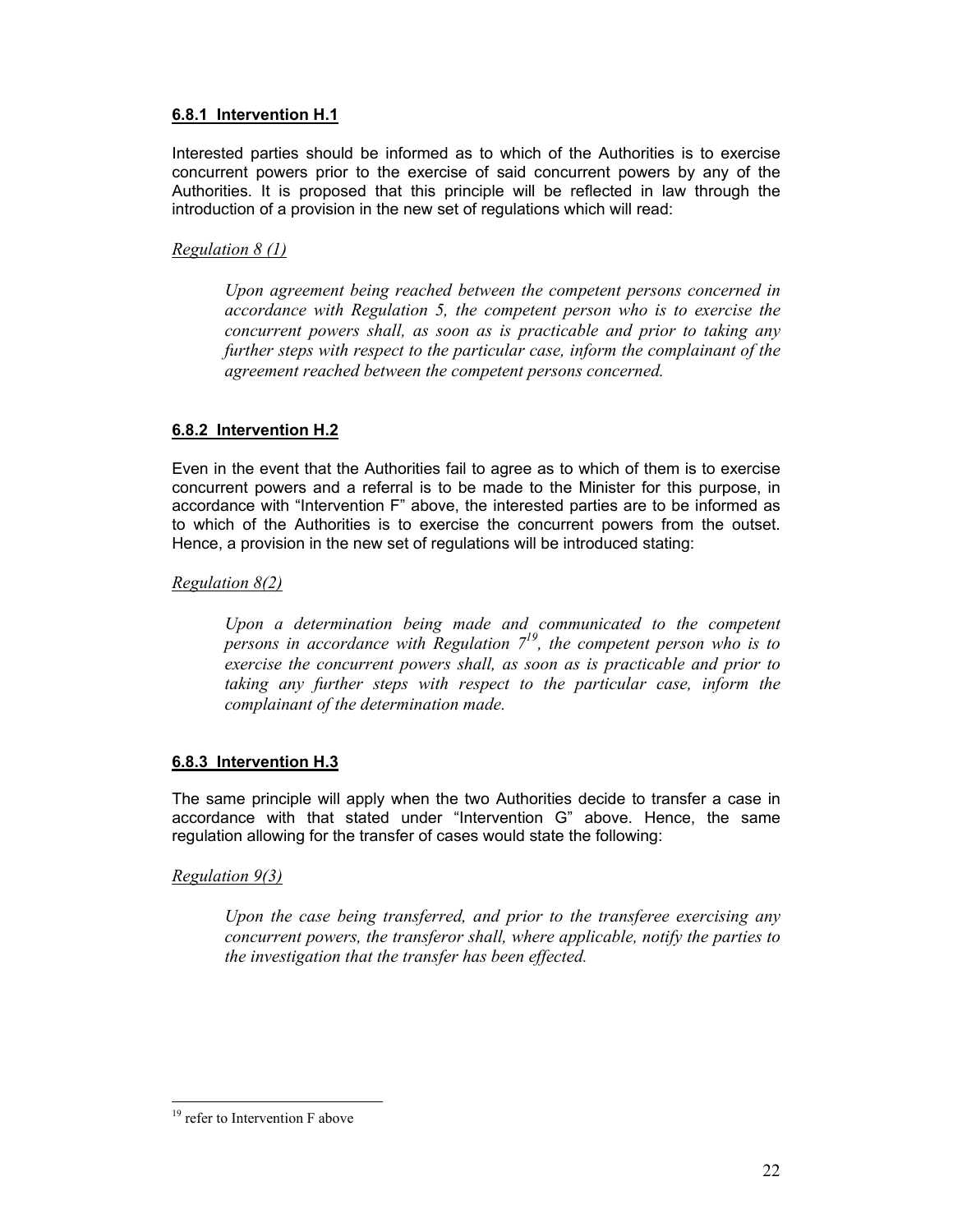# **6.8.1 Intervention H.1**

Interested parties should be informed as to which of the Authorities is to exercise concurrent powers prior to the exercise of said concurrent powers by any of the Authorities. It is proposed that this principle will be reflected in law through the introduction of a provision in the new set of regulations which will read:

# *Regulation 8 (1)*

*Upon agreement being reached between the competent persons concerned in accordance with Regulation 5, the competent person who is to exercise the concurrent powers shall, as soon as is practicable and prior to taking any further steps with respect to the particular case, inform the complainant of the agreement reached between the competent persons concerned.* 

# **6.8.2 Intervention H.2**

Even in the event that the Authorities fail to agree as to which of them is to exercise concurrent powers and a referral is to be made to the Minister for this purpose, in accordance with "Intervention F" above, the interested parties are to be informed as to which of the Authorities is to exercise the concurrent powers from the outset. Hence, a provision in the new set of regulations will be introduced stating:

# *Regulation 8(2)*

*Upon a determination being made and communicated to the competent persons in accordance with Regulation 719, the competent person who is to exercise the concurrent powers shall, as soon as is practicable and prior to taking any further steps with respect to the particular case, inform the complainant of the determination made.* 

# **6.8.3 Intervention H.3**

The same principle will apply when the two Authorities decide to transfer a case in accordance with that stated under "Intervention G" above. Hence, the same regulation allowing for the transfer of cases would state the following:

### *Regulation 9(3)*

*Upon the case being transferred, and prior to the transferee exercising any concurrent powers, the transferor shall, where applicable, notify the parties to the investigation that the transfer has been effected.* 

 $\overline{a}$ <sup>19</sup> refer to Intervention F above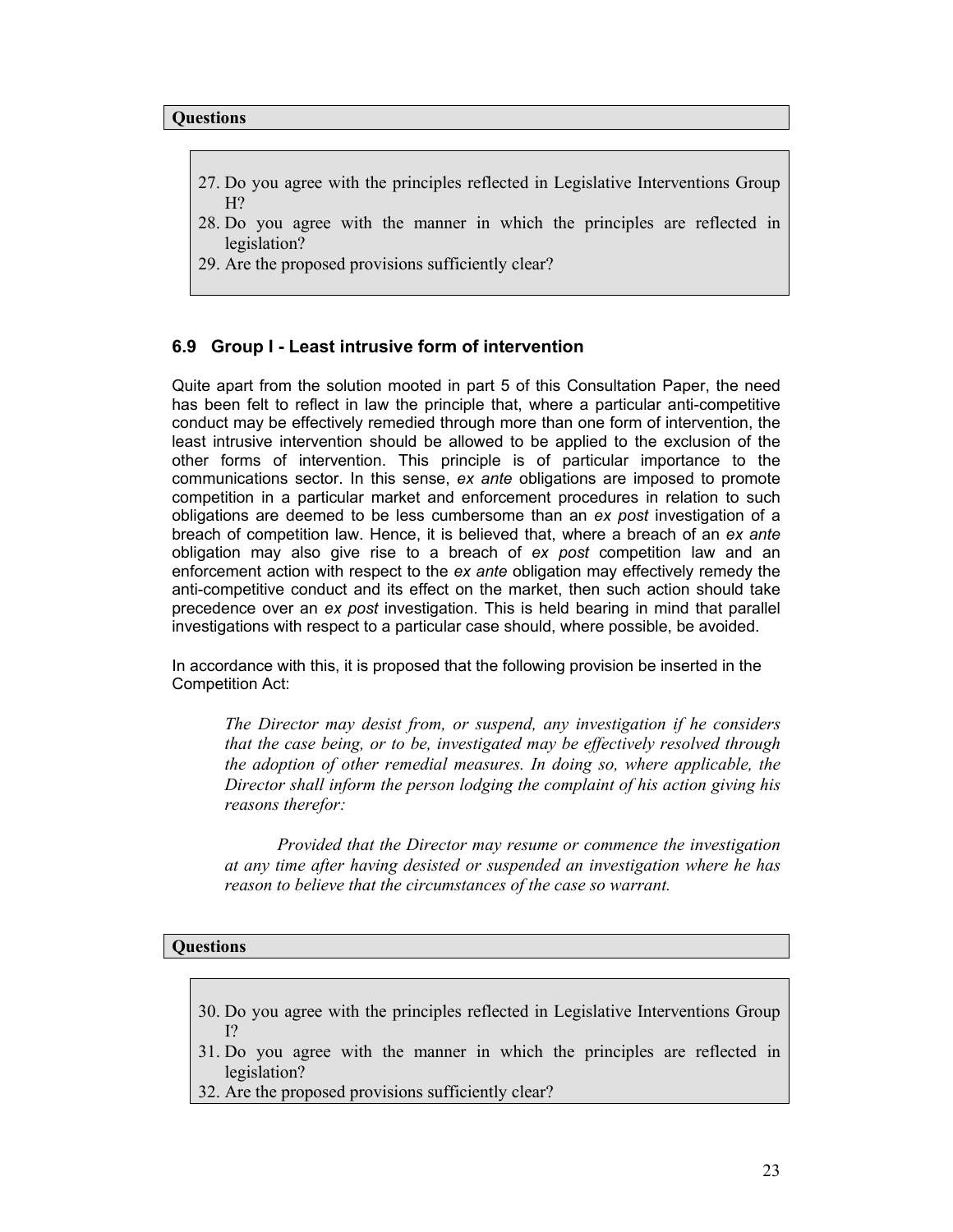- 27. Do you agree with the principles reflected in Legislative Interventions Group  $H<sup>2</sup>$
- 28. Do you agree with the manner in which the principles are reflected in legislation?
- 29. Are the proposed provisions sufficiently clear?

### **6.9 Group I - Least intrusive form of intervention**

Quite apart from the solution mooted in part 5 of this Consultation Paper, the need has been felt to reflect in law the principle that, where a particular anti-competitive conduct may be effectively remedied through more than one form of intervention, the least intrusive intervention should be allowed to be applied to the exclusion of the other forms of intervention. This principle is of particular importance to the communications sector. In this sense, *ex ante* obligations are imposed to promote competition in a particular market and enforcement procedures in relation to such obligations are deemed to be less cumbersome than an *ex post* investigation of a breach of competition law. Hence, it is believed that, where a breach of an *ex ante*  obligation may also give rise to a breach of *ex post* competition law and an enforcement action with respect to the *ex ante* obligation may effectively remedy the anti-competitive conduct and its effect on the market, then such action should take precedence over an *ex post* investigation. This is held bearing in mind that parallel investigations with respect to a particular case should, where possible, be avoided.

In accordance with this, it is proposed that the following provision be inserted in the Competition Act:

*The Director may desist from, or suspend, any investigation if he considers that the case being, or to be, investigated may be effectively resolved through the adoption of other remedial measures. In doing so, where applicable, the Director shall inform the person lodging the complaint of his action giving his reasons therefor:* 

*Provided that the Director may resume or commence the investigation at any time after having desisted or suspended an investigation where he has reason to believe that the circumstances of the case so warrant.* 

#### **Questions**

- 30. Do you agree with the principles reflected in Legislative Interventions Group I?
- 31. Do you agree with the manner in which the principles are reflected in legislation?
- 32. Are the proposed provisions sufficiently clear?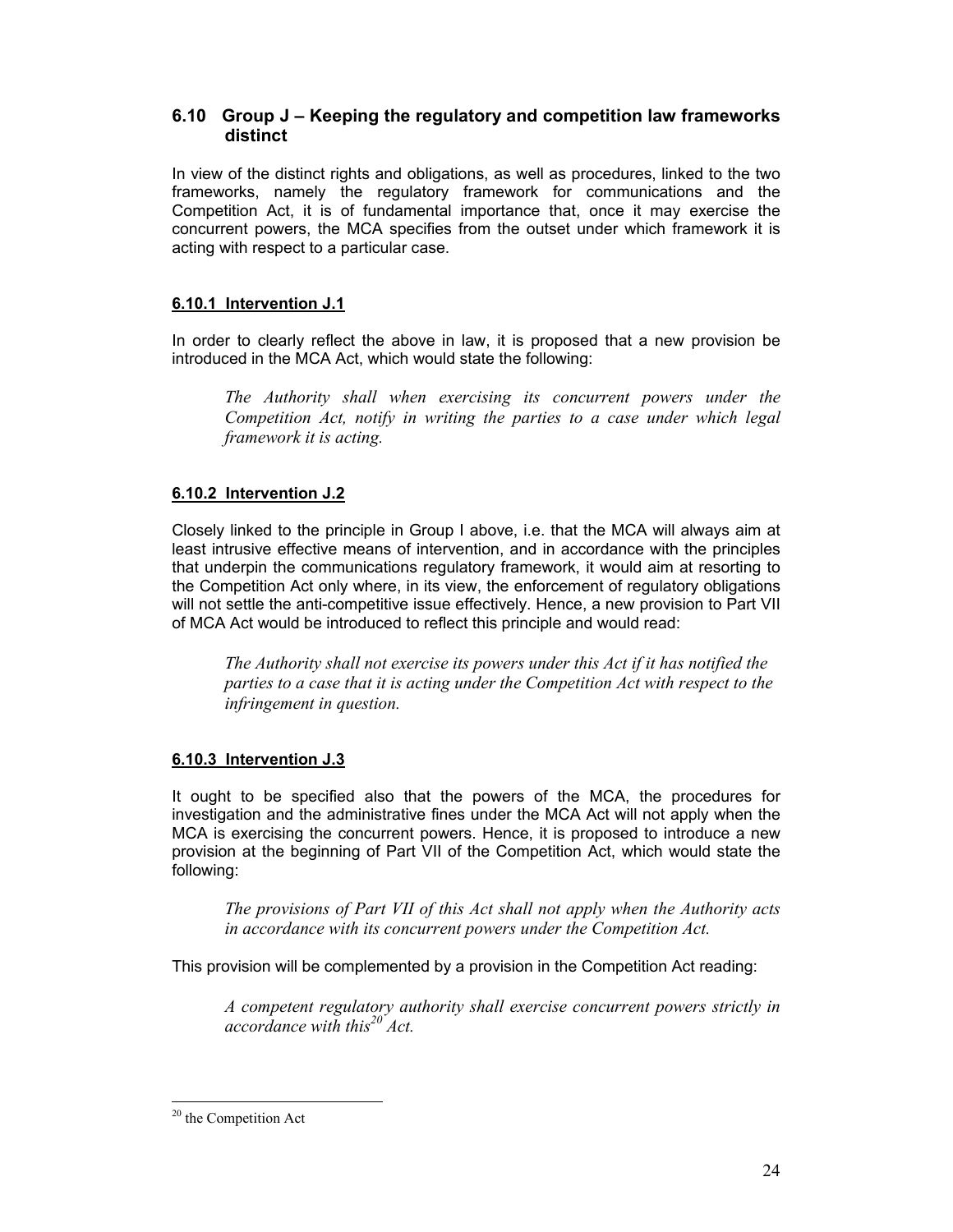# **6.10 Group J – Keeping the regulatory and competition law frameworks distinct**

In view of the distinct rights and obligations, as well as procedures, linked to the two frameworks, namely the regulatory framework for communications and the Competition Act, it is of fundamental importance that, once it may exercise the concurrent powers, the MCA specifies from the outset under which framework it is acting with respect to a particular case.

# **6.10.1 Intervention J.1**

In order to clearly reflect the above in law, it is proposed that a new provision be introduced in the MCA Act, which would state the following:

*The Authority shall when exercising its concurrent powers under the Competition Act, notify in writing the parties to a case under which legal framework it is acting.* 

# **6.10.2 Intervention J.2**

Closely linked to the principle in Group I above, i.e. that the MCA will always aim at least intrusive effective means of intervention, and in accordance with the principles that underpin the communications regulatory framework, it would aim at resorting to the Competition Act only where, in its view, the enforcement of regulatory obligations will not settle the anti-competitive issue effectively. Hence, a new provision to Part VII of MCA Act would be introduced to reflect this principle and would read:

*The Authority shall not exercise its powers under this Act if it has notified the parties to a case that it is acting under the Competition Act with respect to the infringement in question.* 

# **6.10.3 Intervention J.3**

It ought to be specified also that the powers of the MCA, the procedures for investigation and the administrative fines under the MCA Act will not apply when the MCA is exercising the concurrent powers. Hence, it is proposed to introduce a new provision at the beginning of Part VII of the Competition Act, which would state the following:

*The provisions of Part VII of this Act shall not apply when the Authority acts in accordance with its concurrent powers under the Competition Act.* 

This provision will be complemented by a provision in the Competition Act reading:

*A competent regulatory authority shall exercise concurrent powers strictly in accordance with this20 Act.*

 $\overline{a}$ <sup>20</sup> the Competition Act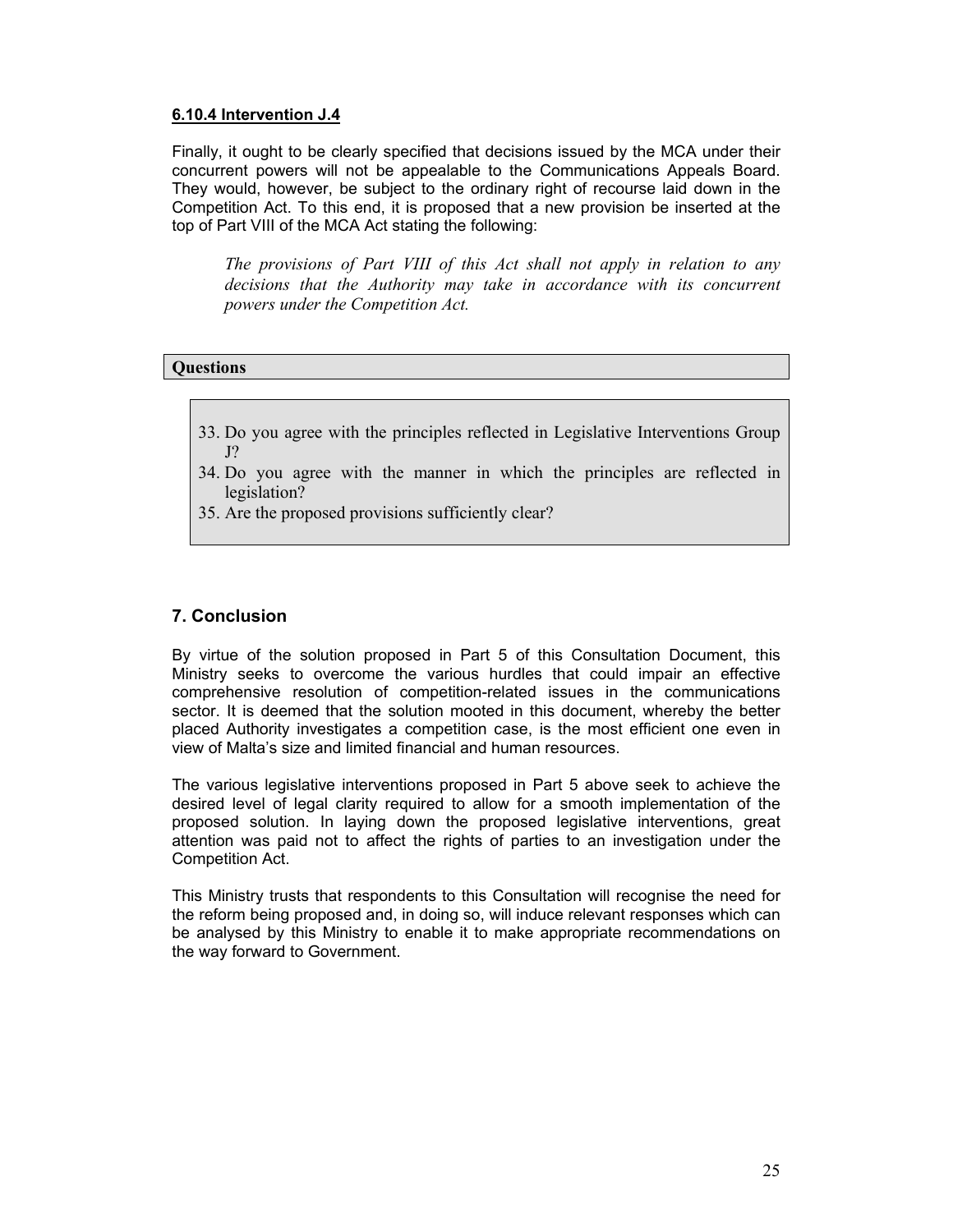### **6.10.4 Intervention J.4**

Finally, it ought to be clearly specified that decisions issued by the MCA under their concurrent powers will not be appealable to the Communications Appeals Board. They would, however, be subject to the ordinary right of recourse laid down in the Competition Act. To this end, it is proposed that a new provision be inserted at the top of Part VIII of the MCA Act stating the following:

*The provisions of Part VIII of this Act shall not apply in relation to any decisions that the Authority may take in accordance with its concurrent powers under the Competition Act.*

# **Questions**

- 33. Do you agree with the principles reflected in Legislative Interventions Group J?
- 34. Do you agree with the manner in which the principles are reflected in legislation?
- 35. Are the proposed provisions sufficiently clear?

# **7. Conclusion**

By virtue of the solution proposed in Part 5 of this Consultation Document, this Ministry seeks to overcome the various hurdles that could impair an effective comprehensive resolution of competition-related issues in the communications sector. It is deemed that the solution mooted in this document, whereby the better placed Authority investigates a competition case, is the most efficient one even in view of Malta's size and limited financial and human resources.

The various legislative interventions proposed in Part 5 above seek to achieve the desired level of legal clarity required to allow for a smooth implementation of the proposed solution. In laying down the proposed legislative interventions, great attention was paid not to affect the rights of parties to an investigation under the Competition Act.

This Ministry trusts that respondents to this Consultation will recognise the need for the reform being proposed and, in doing so, will induce relevant responses which can be analysed by this Ministry to enable it to make appropriate recommendations on the way forward to Government.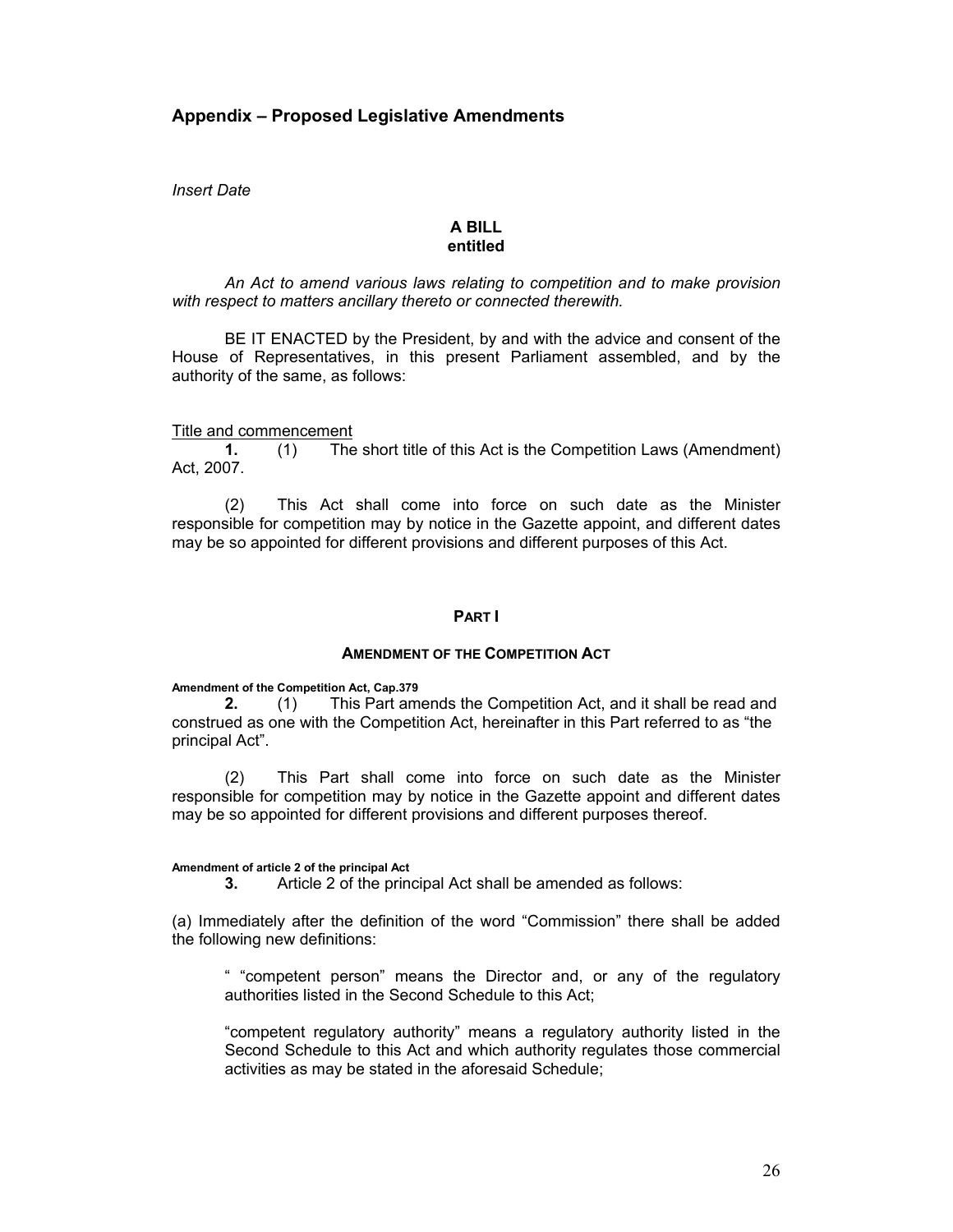# **Appendix – Proposed Legislative Amendments**

*Insert Date* 

#### **A BILL entitled**

*An Act to amend various laws relating to competition and to make provision with respect to matters ancillary thereto or connected therewith.* 

BE IT ENACTED by the President, by and with the advice and consent of the House of Representatives, in this present Parliament assembled, and by the authority of the same, as follows:

Title and commencement

**1.** (1) The short title of this Act is the Competition Laws (Amendment) Act, 2007.

(2) This Act shall come into force on such date as the Minister responsible for competition may by notice in the Gazette appoint, and different dates may be so appointed for different provisions and different purposes of this Act.

#### **PART I**

#### **AMENDMENT OF THE COMPETITION ACT**

**Amendment of the Competition Act, Cap.379** 

**2.** (1) This Part amends the Competition Act, and it shall be read and construed as one with the Competition Act, hereinafter in this Part referred to as "the principal Act".

(2) This Part shall come into force on such date as the Minister responsible for competition may by notice in the Gazette appoint and different dates may be so appointed for different provisions and different purposes thereof.

#### **Amendment of article 2 of the principal Act**

**3.** Article 2 of the principal Act shall be amended as follows:

(a) Immediately after the definition of the word "Commission" there shall be added the following new definitions:

" "competent person" means the Director and, or any of the regulatory authorities listed in the Second Schedule to this Act;

"competent regulatory authority" means a regulatory authority listed in the Second Schedule to this Act and which authority regulates those commercial activities as may be stated in the aforesaid Schedule;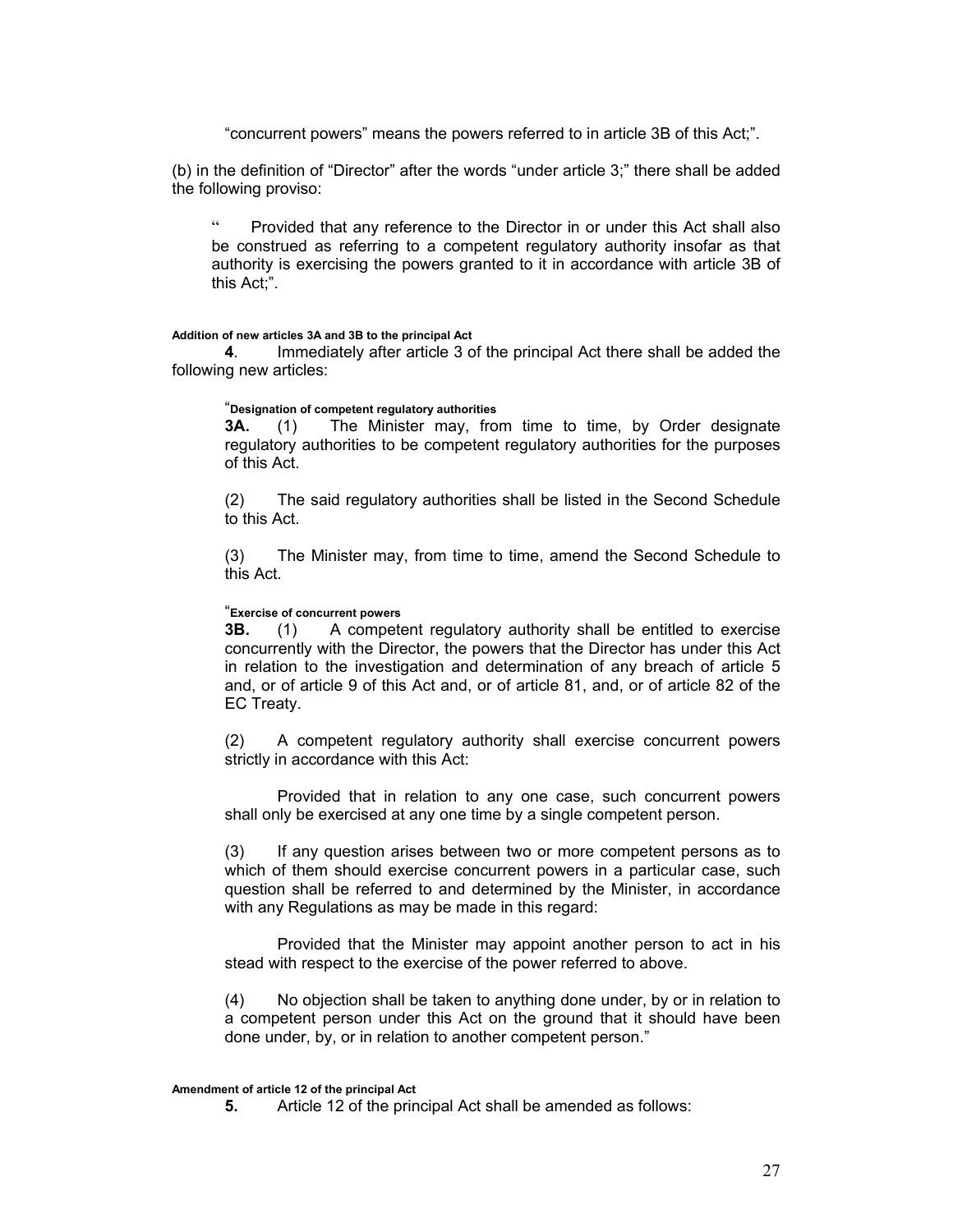"concurrent powers" means the powers referred to in article 3B of this Act;".

(b) in the definition of "Director" after the words "under article 3;" there shall be added the following proviso:

Provided that any reference to the Director in or under this Act shall also be construed as referring to a competent regulatory authority insofar as that authority is exercising the powers granted to it in accordance with article 3B of this Act;".

#### **Addition of new articles 3A and 3B to the principal Act**

**4**. Immediately after article 3 of the principal Act there shall be added the following new articles:

#### "**Designation of competent regulatory authorities**

**3A.** (1) The Minister may, from time to time, by Order designate regulatory authorities to be competent regulatory authorities for the purposes of this Act.

 (2) The said regulatory authorities shall be listed in the Second Schedule to this Act.

 (3) The Minister may, from time to time, amend the Second Schedule to this Act.

#### "**Exercise of concurrent powers**

**3B.** (1) A competent regulatory authority shall be entitled to exercise concurrently with the Director, the powers that the Director has under this Act in relation to the investigation and determination of any breach of article 5 and, or of article 9 of this Act and, or of article 81, and, or of article 82 of the EC Treaty.

(2) A competent regulatory authority shall exercise concurrent powers strictly in accordance with this Act:

Provided that in relation to any one case, such concurrent powers shall only be exercised at any one time by a single competent person.

(3) If any question arises between two or more competent persons as to which of them should exercise concurrent powers in a particular case, such question shall be referred to and determined by the Minister, in accordance with any Regulations as may be made in this regard:

 Provided that the Minister may appoint another person to act in his stead with respect to the exercise of the power referred to above.

(4) No objection shall be taken to anything done under, by or in relation to a competent person under this Act on the ground that it should have been done under, by, or in relation to another competent person."

#### **Amendment of article 12 of the principal Act**

**5.** Article 12 of the principal Act shall be amended as follows: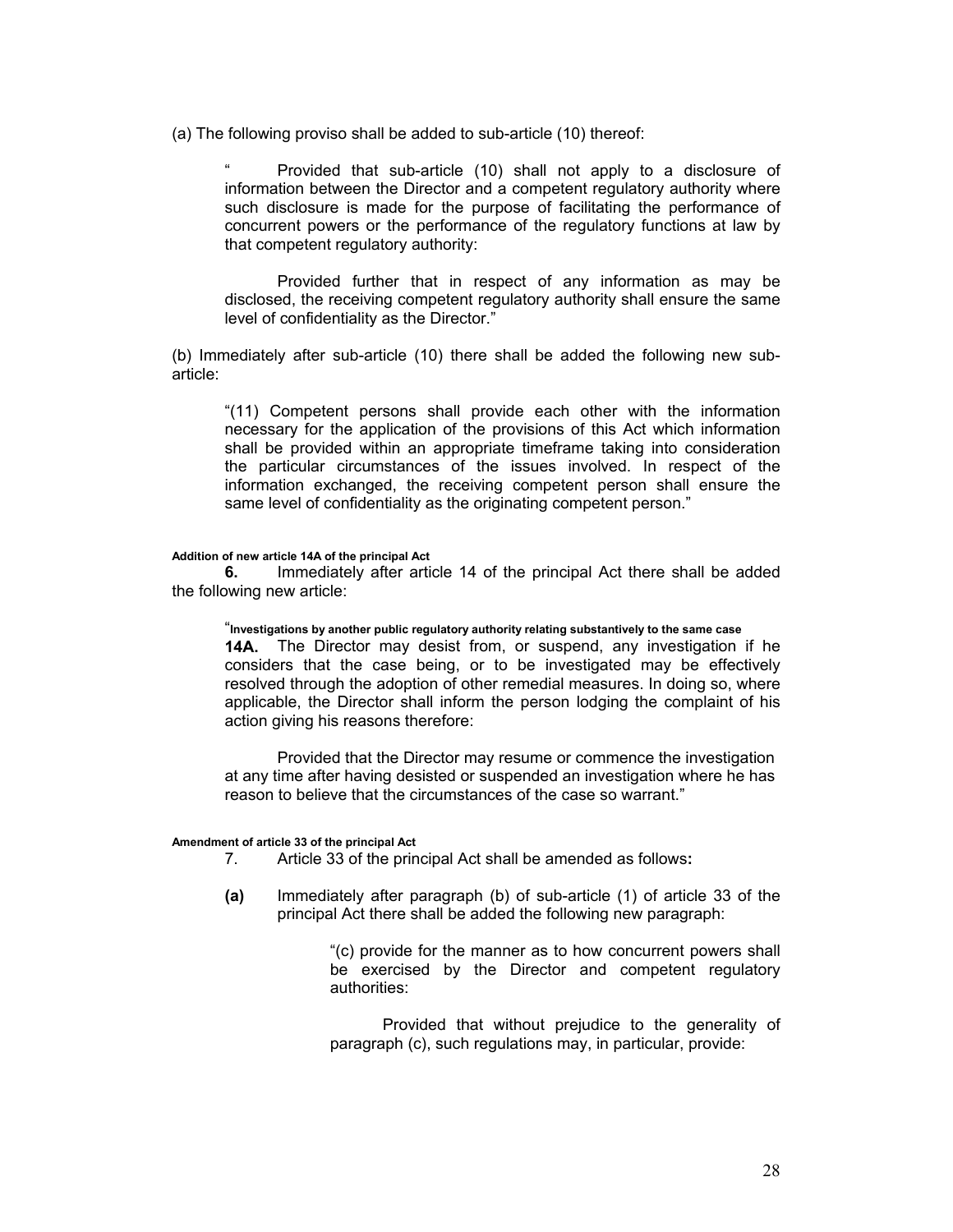(a) The following proviso shall be added to sub-article (10) thereof:

Provided that sub-article (10) shall not apply to a disclosure of information between the Director and a competent regulatory authority where such disclosure is made for the purpose of facilitating the performance of concurrent powers or the performance of the regulatory functions at law by that competent regulatory authority:

Provided further that in respect of any information as may be disclosed, the receiving competent regulatory authority shall ensure the same level of confidentiality as the Director."

(b) Immediately after sub-article (10) there shall be added the following new subarticle:

"(11) Competent persons shall provide each other with the information necessary for the application of the provisions of this Act which information shall be provided within an appropriate timeframe taking into consideration the particular circumstances of the issues involved. In respect of the information exchanged, the receiving competent person shall ensure the same level of confidentiality as the originating competent person."

#### **Addition of new article 14A of the principal Act**

**6.** Immediately after article 14 of the principal Act there shall be added the following new article:

"**Investigations by another public regulatory authority relating substantively to the same case 14A.** The Director may desist from, or suspend, any investigation if he considers that the case being, or to be investigated may be effectively resolved through the adoption of other remedial measures. In doing so, where applicable, the Director shall inform the person lodging the complaint of his action giving his reasons therefore:

Provided that the Director may resume or commence the investigation at any time after having desisted or suspended an investigation where he has reason to believe that the circumstances of the case so warrant."

#### **Amendment of article 33 of the principal Act**

- 7. Article 33 of the principal Act shall be amended as follows**:**
- **(a)** Immediately after paragraph (b) of sub-article (1) of article 33 of the principal Act there shall be added the following new paragraph:

"(c) provide for the manner as to how concurrent powers shall be exercised by the Director and competent regulatory authorities:

Provided that without prejudice to the generality of paragraph (c), such regulations may, in particular, provide: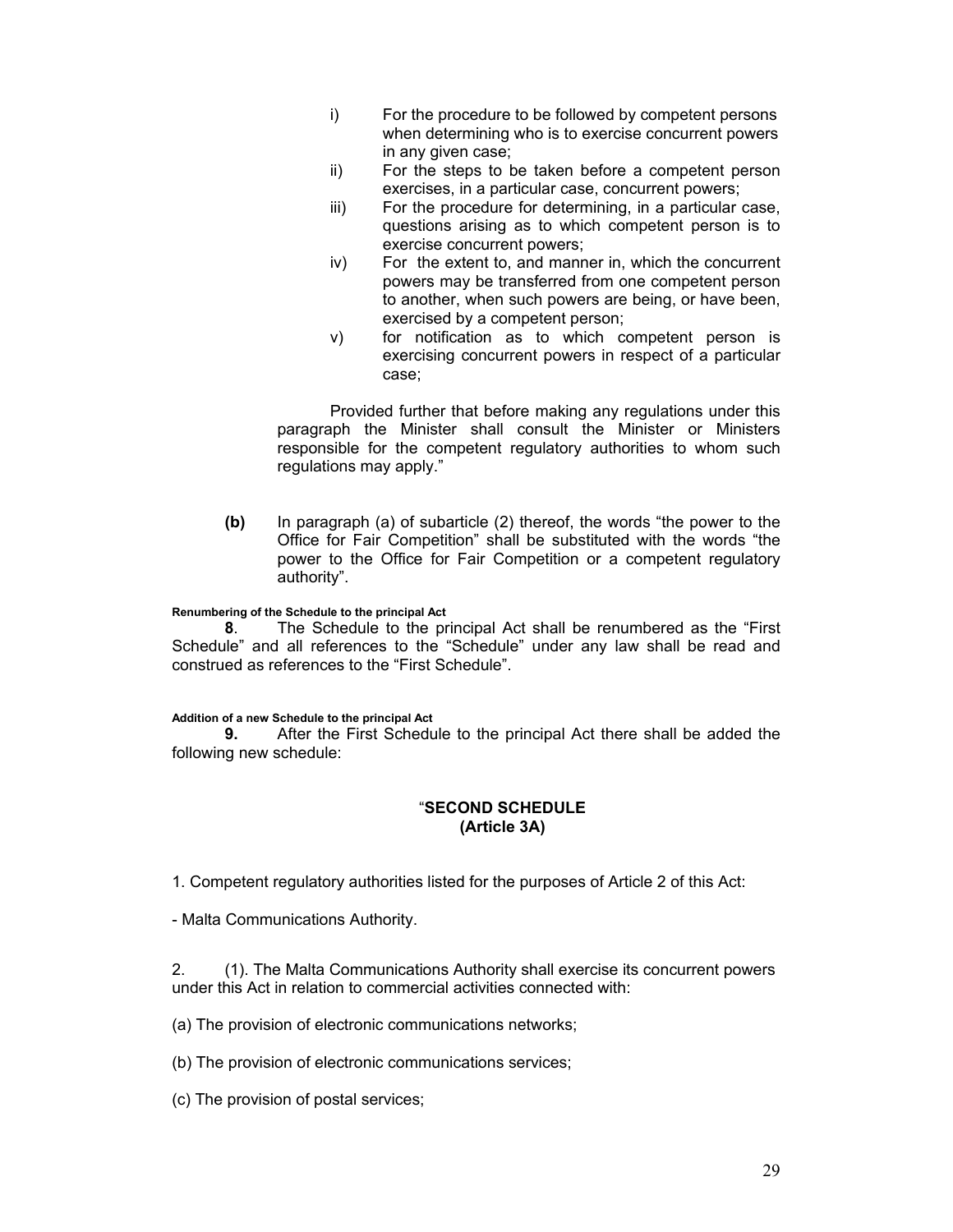- i) For the procedure to be followed by competent persons when determining who is to exercise concurrent powers in any given case;
- ii) For the steps to be taken before a competent person exercises, in a particular case, concurrent powers;
- iii) For the procedure for determining, in a particular case, questions arising as to which competent person is to exercise concurrent powers;
- iv) For the extent to, and manner in, which the concurrent powers may be transferred from one competent person to another, when such powers are being, or have been, exercised by a competent person;
- v) for notification as to which competent person is exercising concurrent powers in respect of a particular case;

Provided further that before making any regulations under this paragraph the Minister shall consult the Minister or Ministers responsible for the competent regulatory authorities to whom such regulations may apply."

**(b)** In paragraph (a) of subarticle (2) thereof, the words "the power to the Office for Fair Competition" shall be substituted with the words "the power to the Office for Fair Competition or a competent regulatory authority".

#### **Renumbering of the Schedule to the principal Act**

**8**. The Schedule to the principal Act shall be renumbered as the "First Schedule" and all references to the "Schedule" under any law shall be read and construed as references to the "First Schedule".

#### **Addition of a new Schedule to the principal Act**

**9.** After the First Schedule to the principal Act there shall be added the following new schedule:

# "**SECOND SCHEDULE (Article 3A)**

1. Competent regulatory authorities listed for the purposes of Article 2 of this Act:

- Malta Communications Authority.

2. (1). The Malta Communications Authority shall exercise its concurrent powers under this Act in relation to commercial activities connected with:

(a) The provision of electronic communications networks;

(b) The provision of electronic communications services;

(c) The provision of postal services;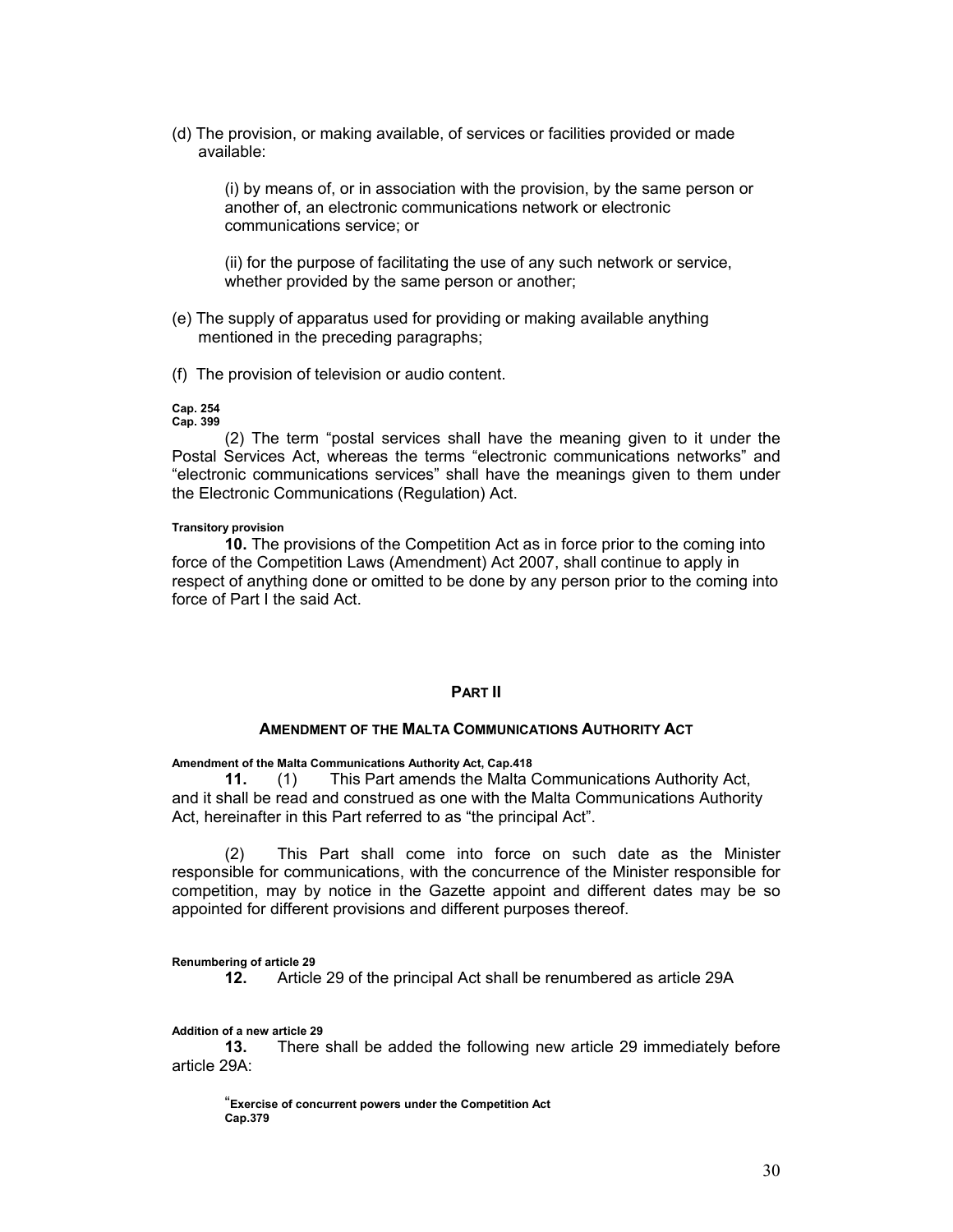(d) The provision, or making available, of services or facilities provided or made available:

(i) by means of, or in association with the provision, by the same person or another of, an electronic communications network or electronic communications service; or

(ii) for the purpose of facilitating the use of any such network or service, whether provided by the same person or another;

- (e) The supply of apparatus used for providing or making available anything mentioned in the preceding paragraphs;
- (f) The provision of television or audio content.

#### **Cap. 254 Cap. 399**

(2) The term "postal services shall have the meaning given to it under the Postal Services Act, whereas the terms "electronic communications networks" and "electronic communications services" shall have the meanings given to them under the Electronic Communications (Regulation) Act.

#### **Transitory provision**

**10.** The provisions of the Competition Act as in force prior to the coming into force of the Competition Laws (Amendment) Act 2007, shall continue to apply in respect of anything done or omitted to be done by any person prior to the coming into force of Part I the said Act.

#### **PART II**

#### **AMENDMENT OF THE MALTA COMMUNICATIONS AUTHORITY ACT**

#### **Amendment of the Malta Communications Authority Act, Cap.418**

**11.** (1) This Part amends the Malta Communications Authority Act, and it shall be read and construed as one with the Malta Communications Authority Act, hereinafter in this Part referred to as "the principal Act".

(2) This Part shall come into force on such date as the Minister responsible for communications, with the concurrence of the Minister responsible for competition, may by notice in the Gazette appoint and different dates may be so appointed for different provisions and different purposes thereof.

**Renumbering of article 29** 

**12.** Article 29 of the principal Act shall be renumbered as article 29A

#### **Addition of a new article 29**

**13.** There shall be added the following new article 29 immediately before article 29A:

"**Exercise of concurrent powers under the Competition Act Cap.379**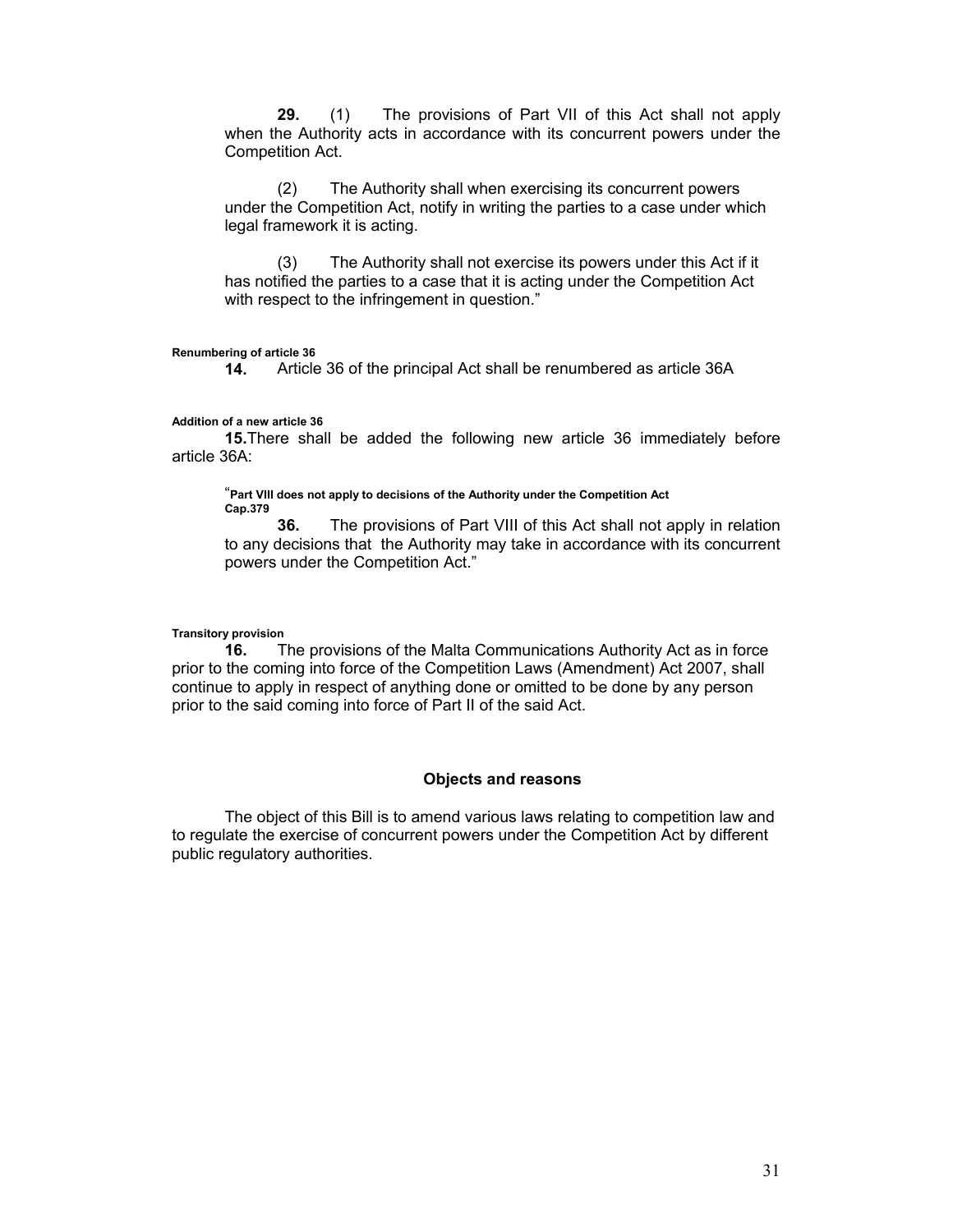**29.** (1) The provisions of Part VII of this Act shall not apply when the Authority acts in accordance with its concurrent powers under the Competition Act.

(2) The Authority shall when exercising its concurrent powers under the Competition Act, notify in writing the parties to a case under which legal framework it is acting.

(3) The Authority shall not exercise its powers under this Act if it has notified the parties to a case that it is acting under the Competition Act with respect to the infringement in question."

#### **Renumbering of article 36**

**14.** Article 36 of the principal Act shall be renumbered as article 36A

#### **Addition of a new article 36**

**15.**There shall be added the following new article 36 immediately before article 36A:

"**Part VIII does not apply to decisions of the Authority under the Competition Act Cap.379**

**36.** The provisions of Part VIII of this Act shall not apply in relation to any decisions that the Authority may take in accordance with its concurrent powers under the Competition Act."

#### **Transitory provision**

**16.** The provisions of the Malta Communications Authority Act as in force prior to the coming into force of the Competition Laws (Amendment) Act 2007, shall continue to apply in respect of anything done or omitted to be done by any person prior to the said coming into force of Part II of the said Act.

#### **Objects and reasons**

The object of this Bill is to amend various laws relating to competition law and to regulate the exercise of concurrent powers under the Competition Act by different public regulatory authorities.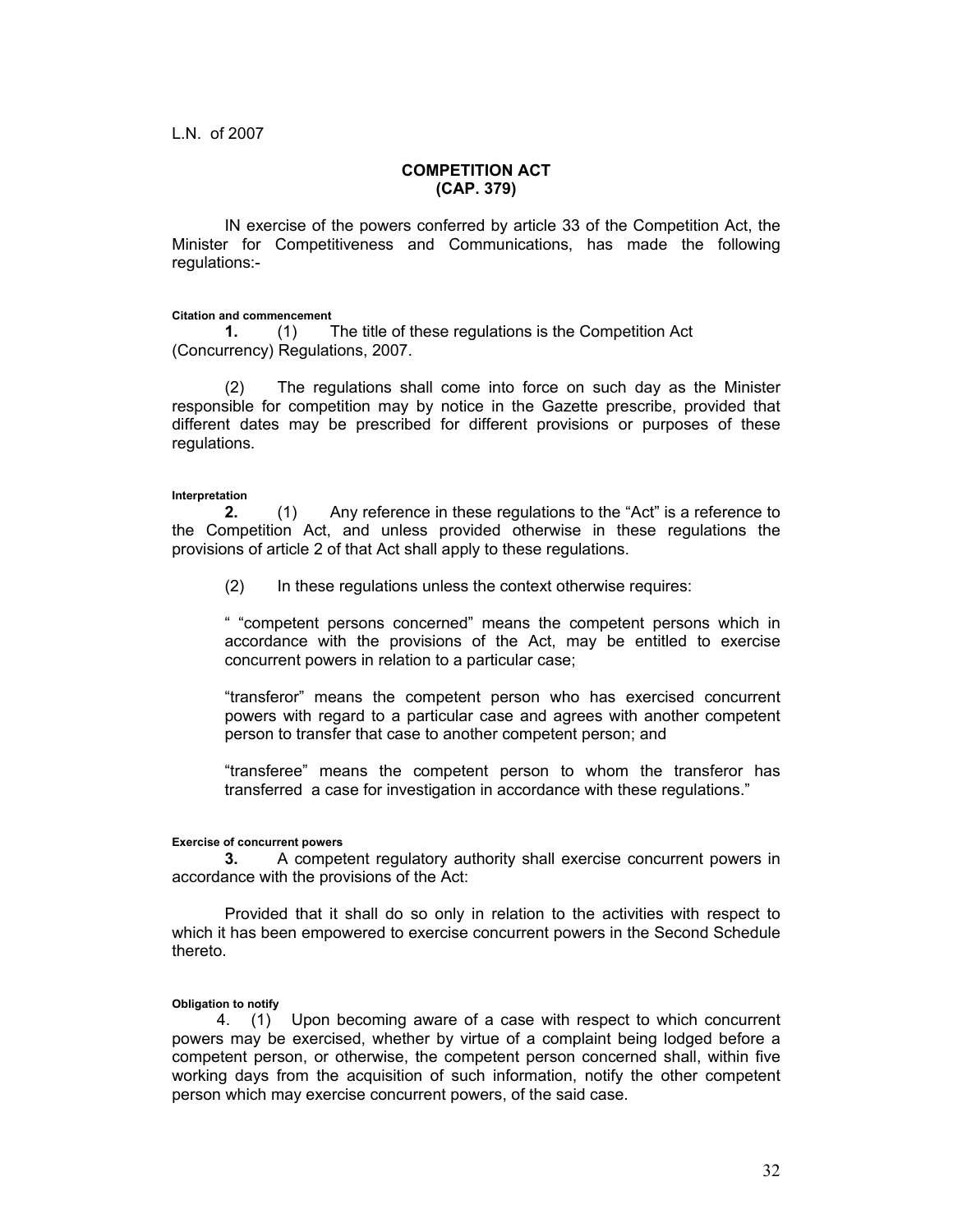#### **COMPETITION ACT (CAP. 379)**

IN exercise of the powers conferred by article 33 of the Competition Act, the Minister for Competitiveness and Communications, has made the following regulations:-

#### **Citation and commencement**

**1.** (1) The title of these regulations is the Competition Act (Concurrency) Regulations, 2007.

(2) The regulations shall come into force on such day as the Minister responsible for competition may by notice in the Gazette prescribe, provided that different dates may be prescribed for different provisions or purposes of these regulations.

#### **Interpretation**

**2.** (1) Any reference in these regulations to the "Act" is a reference to the Competition Act, and unless provided otherwise in these regulations the provisions of article 2 of that Act shall apply to these regulations.

(2) In these regulations unless the context otherwise requires:

" "competent persons concerned" means the competent persons which in accordance with the provisions of the Act, may be entitled to exercise concurrent powers in relation to a particular case;

"transferor" means the competent person who has exercised concurrent powers with regard to a particular case and agrees with another competent person to transfer that case to another competent person; and

"transferee" means the competent person to whom the transferor has transferred a case for investigation in accordance with these regulations."

#### **Exercise of concurrent powers**

**3.** A competent regulatory authority shall exercise concurrent powers in accordance with the provisions of the Act:

Provided that it shall do so only in relation to the activities with respect to which it has been empowered to exercise concurrent powers in the Second Schedule thereto.

#### **Obligation to notify**

 4. (1) Upon becoming aware of a case with respect to which concurrent powers may be exercised, whether by virtue of a complaint being lodged before a competent person, or otherwise, the competent person concerned shall, within five working days from the acquisition of such information, notify the other competent person which may exercise concurrent powers, of the said case.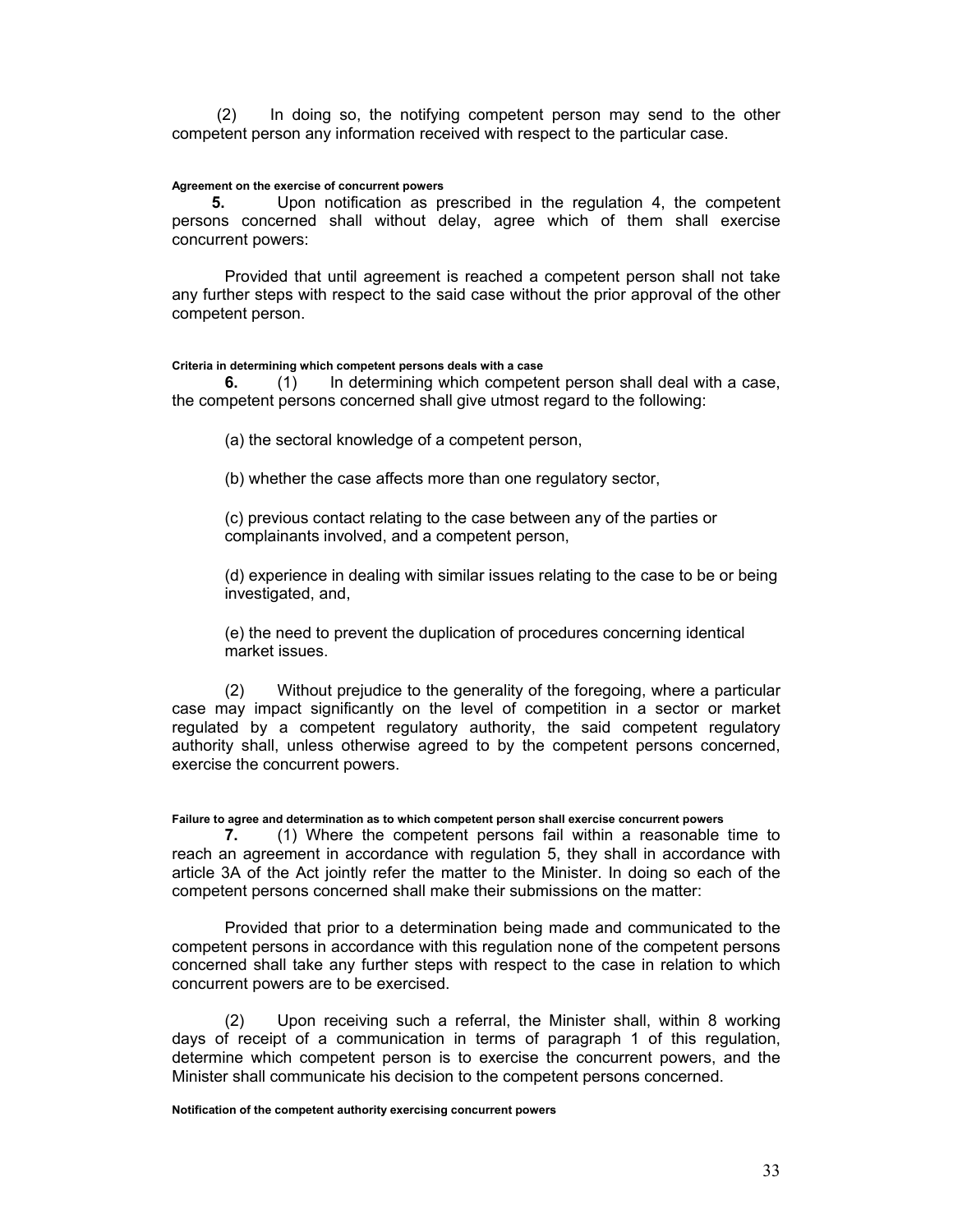(2) In doing so, the notifying competent person may send to the other competent person any information received with respect to the particular case.

#### **Agreement on the exercise of concurrent powers**

**5.** Upon notification as prescribed in the regulation 4, the competent persons concerned shall without delay, agree which of them shall exercise concurrent powers:

Provided that until agreement is reached a competent person shall not take any further steps with respect to the said case without the prior approval of the other competent person.

#### **Criteria in determining which competent persons deals with a case**

**6.** (1) In determining which competent person shall deal with a case, the competent persons concerned shall give utmost regard to the following:

(a) the sectoral knowledge of a competent person,

(b) whether the case affects more than one regulatory sector,

(c) previous contact relating to the case between any of the parties or complainants involved, and a competent person,

(d) experience in dealing with similar issues relating to the case to be or being investigated, and,

(e) the need to prevent the duplication of procedures concerning identical market issues.

(2) Without prejudice to the generality of the foregoing, where a particular case may impact significantly on the level of competition in a sector or market regulated by a competent regulatory authority, the said competent regulatory authority shall, unless otherwise agreed to by the competent persons concerned, exercise the concurrent powers.

**Failure to agree and determination as to which competent person shall exercise concurrent powers** 

**7.** (1) Where the competent persons fail within a reasonable time to reach an agreement in accordance with regulation 5, they shall in accordance with article 3A of the Act jointly refer the matter to the Minister. In doing so each of the competent persons concerned shall make their submissions on the matter:

 Provided that prior to a determination being made and communicated to the competent persons in accordance with this regulation none of the competent persons concerned shall take any further steps with respect to the case in relation to which concurrent powers are to be exercised.

(2) Upon receiving such a referral, the Minister shall, within 8 working days of receipt of a communication in terms of paragraph 1 of this regulation, determine which competent person is to exercise the concurrent powers, and the Minister shall communicate his decision to the competent persons concerned.